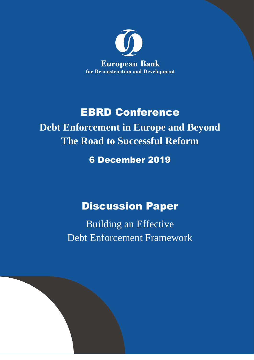

# EBRD Conference

**Debt Enforcement in Europe and Beyond The Road to Successful Reform**

# 6 December 2019

# Discussion Paper

Building an Effective Debt Enforcement Framework

<u>1981 - Andrea State Barbara, amerikan personal di personal dengan personal dengan personal dengan personal de</u>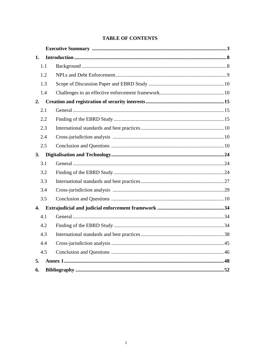## **TABLE OF CONTENTS**

| 1.  |     |  |
|-----|-----|--|
|     | 1.1 |  |
|     | 1.2 |  |
|     | 1.3 |  |
|     | 1.4 |  |
| 2.  |     |  |
| 2.1 |     |  |
| 2.2 |     |  |
| 2.3 |     |  |
| 2.4 |     |  |
|     | 2.5 |  |
| 3.  |     |  |
|     | 3.1 |  |
|     | 3.2 |  |
|     | 3.3 |  |
|     | 3.4 |  |
|     | 3.5 |  |
| 4.  |     |  |
| 4.1 |     |  |
| 4.2 |     |  |
| 4.3 |     |  |
| 4.4 |     |  |
|     | 4.5 |  |
| 5.  |     |  |
| 6.  |     |  |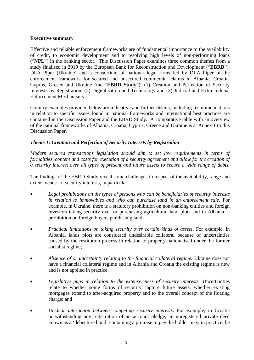## **Executive summary**

Effective and reliable enforcement frameworks are of fundamental importance to the availability of credit, to economic development and to resolving high levels of non-performing loans ("**NPL**") in the banking sector. This Discussion Paper examines three common themes from a study finalised in 2019 by the European Bank for Reconstruction and Development ("**EBRD**"), DLA Piper (Ukraine) and a consortium of national legal firms led by DLA Piper of the enforcement framework for secured and unsecured commercial claims in Albania, Croatia, Cyprus, Greece and Ukraine (the "**EBRD Study**"): (1) Creation and Perfection of Security Interests by Registration, (2) Digitalisation and Technology and (3) Judicial and Extra-Judicial Enforcement Mechanisms.

Country examples provided below are indicative and further details, including recommendations in relation to specific issues found in national frameworks and international best practices are contained in the Discussion Paper and the EBRD Study. A comparative table with an overview of the national frameworks of Albania, Croatia, Cyprus, Greece and Ukraine is at Annex 1 to this Discussion Paper.

## *Theme 1: Creation and Perfection of Security Interests by Registration*

*Modern secured transactions legislation should aim to set low requirements in terms of formalities, content and costs for execution of a security agreement and allow for the creation of a security interest over all types of present and future assets to secure a wide range of debts.*

The findings of the EBRD Study reveal some challenges in respect of the availability, range and extensiveness of security interests, in particular:

- *Legal prohibitions on the types of persons who can be beneficiaries of security interests in relation to immovables and who can purchase land in an enforcement sale*. For example, in Ukraine, there is a statutory prohibition on non-banking entities and foreign investors taking security over or purchasing agricultural land plots and in Albania, a prohibition on foreign buyers purchasing land;
- *Practical limitations on taking security over certain kinds of assets*. For example, in Albania, lands plots are considered undesirable collateral because of uncertainties caused by the restitution process in relation to property nationalised under the former socialist regime;
- *Absence of or uncertainty relating to the financial collateral regime*. Ukraine does not have a financial collateral regime and in Albania and Croatia the existing regime is new and is not applied in practice;
- *Legislative gaps in relation to the extensiveness of security interests.* Uncertainties relate to whether some forms of security capture future assets, whether existing mortgages extend to after-acquired property and to the overall concept of the floating charge; and
- *Unclear interaction between competing security interests*. For example, in Croatia notwithstanding any registration of an account pledge, an unregistered private deed known as a 'debenture bond' containing a promise to pay the holder may, in practice, be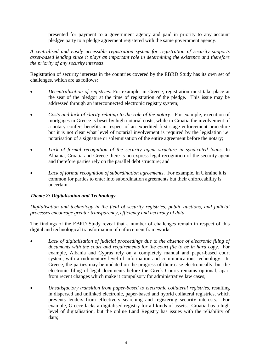presented for payment to a government agency and paid in priority to any account pledgee party to a pledge agreement registered with the same government agency.

*A centralised and easily accessible registration system for registration of security supports asset-based lending since it plays an important role in determining the existence and therefore the priority of any security interests.*

Registration of security interests in the countries covered by the EBRD Study has its own set of challenges, which are as follows:

- *Decentralisation of registries*. For example, in Greece, registration must take place at the seat of the pledgor at the time of registration of the pledge. This issue may be addressed through an interconnected electronic registry system;
- *Costs and lack of clarity relating to the role of the notary*. For example, execution of mortgages in Greece is beset by high notarial costs, while in Croatia the involvement of a notary confers benefits in respect of an expedited first stage enforcement procedure but it is not clear what level of notarial involvement is required by the legislation i.e. notarisation of a signature or solemnisation of the entire agreement before the notary;
- *Lack of formal recognition of the security agent structure in syndicated loans*. In Albania, Croatia and Greece there is no express legal recognition of the security agent and therefore parties rely on the parallel debt structure; and
- *Lack of formal recognition of subordination agreements*. For example, in Ukraine it is common for parties to enter into subordination agreements but their enforceability is uncertain.

## *Theme 2: Digitalisation and Technology*

*Digitalisation and technology in the field of security registries, public auctions, and judicial processes encourage greater transparency, efficiency and accuracy of data.* 

The findings of the EBRD Study reveal that a number of challenges remain in respect of this digital and technological transformation of enforcement frameworks:

- *Lack of digitalisation of judicial proceedings due to the absence of electronic filing of documents with the court and requirements for the court file to be in hard copy*. For example, Albania and Cyprus rely on a completely manual and paper-based court system, with a rudimentary level of information and communications technology. In Greece, the parties may be updated on the progress of their case electronically, but the electronic filing of legal documents before the Greek Courts remains optional, apart from recent changes which make it compulsory for administrative law cases;
- *Unsatisfactory transition from paper-based to electronic collateral registries*, resulting in dispersed and unlinked electronic, paper-based and hybrid collateral registries, which prevents lenders from effectively searching and registering security interests. For example, Greece lacks a digitalised registry for all kinds of assets. Croatia has a high level of digitalisation, but the online Land Registry has issues with the reliability of data;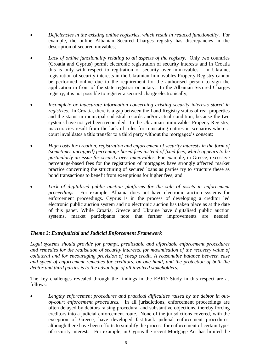- *Deficiencies in the existing online registries, which result in reduced functionality*. For example, the online Albanian Secured Charges registry has discrepancies in the description of secured movables;
- *Lack of online functionality relating to all aspects of the registry*. Only two countries (Croatia and Cyprus) permit electronic registration of security interests and in Croatia this is only with respect to regitration of security over immovables. In Ukraine, registration of security interests in the Ukrainian Immovables Property Registry cannot be performed online due to the requirement for the authorised person to sign the application in front of the state registrar or notary. In the Albanian Secured Charges registry, it is not possible to register a secured charge electronically;
- *Incomplete or inaccurate information concerning existing security interests stored in registries*. In Croatia, there is a gap between the Land Registry status of real properties and the status in municipal cadastral records and/or actual condition, because the two systems have not yet been reconciled. In the Ukrainian Immovables Property Registry, inaccuracies result from the lack of rules for reinstating entries in scenarios where a court invalidates a title transfer to a third party without the mortgagee's consent;
- *High costs for creation, registration and enforcement of security interests in the form of (sometimes uncapped) percentage-based fees instead of fixed fees, which appears to be particularly an issue for security over immovables.* For example, in Greece, excessive percentage-based fees for the registration of mortgages have strongly affected market practice concerning the structuring of secured loans as parties try to structure these as bond transactions to benefit from exemptions for higher fees; and
- Lack of digitalised public auction platforms for the sale of assets in enforcement *proceedings*. For example, Albania does not have electronic auction systems for enforcement proceedings. Cyprus is in the process of developing a creditor led electronic public auction system and no electronic auction has taken place as at the date of this paper. While Croatia, Greece and Ukraine have digitalised public auction systems, market participants note that further improvements are needed.

## *Theme 3: Extrajudicial and Judicial Enforcement Framework*

*Legal systems should provide for prompt, predictable and affordable enforcement procedures and remedies for the realisation of security interests, for maximisation of the recovery value of collateral and for encouraging provision of cheap credit. A reasonable balance between ease and speed of enforcement remedies for creditors, on one hand, and the protection of both the debtor and third parties is to the advantage of all involved stakeholders.*

The key challenges revealed through the findings in the EBRD Study in this respect are as follows:

 *Lengthy enforcement procedures and practical difficulties raised by the debtor in outof-court enforcement procedures.* In all jurisdictions, enforcement proceedings are often delayed by debtors raising procedural and substantive objections, thereby forcing creditors into a judicial enforcement route. None of the jurisdictions covered, with the exception of Greece, have developed fast-track judicial enforcement procedures, although there have been efforts to simplify the process for enforcement of certain types of security interests. For example, in Cyprus the recent Mortgage Act has limited the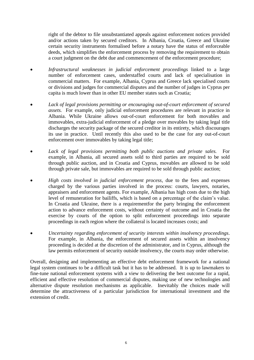right of the debtor to file unsubstantiated appeals against enforcement notices provided and/or actions taken by secured creditors. In Albania, Croatia, Greece and Ukraine certain security instruments formalised before a notary have the status of enforceable deeds, which simplifies the enforcement process by removing the requirement to obtain a court judgment on the debt due and commencement of the enforcement procedure;

- *Infrastructural weaknesses in judicial enforcement proceedings* linked to a large number of enforcement cases, understaffed courts and lack of specialisation in commercial matters. For example, Albania, Cyprus and Greece lack specialised courts or divisions and judges for commercial disputes and the number of judges in Cyprus per capita is much lower than in other EU member states such as Croatia;
- *Lack of legal provisions permitting or encouraging out-of-court enforcement of secured assets.* For example, only judicial enforcement procedures are relevant in practice in Albania. While Ukraine allows out-of-court enforcement for both movables and immovables, extra-judicial enforcement of a pledge over movables by taking legal title discharges the security package of the secured creditor in its entirety, which discourages its use in practice. Until recently this also used to be the case for any out-of-court enforcement over immovables by taking legal title;
- *Lack of legal provisions permitting both public auctions and private sales.* For example, in Albania, all secured assets sold to third parties are required to be sold through public auction, and in Croatia and Cyprus, movables are allowed to be sold through private sale, but immovables are required to be sold through public auction;
- *High costs involved in judicial enforcement process*, due to the fees and expenses charged by the various parties involved in the process: courts, lawyers, notaries, appraisers and enforcement agents. For example, Albania has high costs due to the high level of remuneration for bailiffs, which is based on a percentage of the claim's value. In Croatia and Ukraine, there is a requirementfor the party bringing the enforcement action to advance enforcement costs, without certainty of outcome and in Croatia the exercise by courts of the option to split enforcement proceedings into separate proceedings in each region where the collateral is located increases costs; and
- *Uncertainty regarding enforcement of security interests within insolvency proceedings*. For example, in Albania, the enforcement of secured assets within an insolvency proceeding is decided at the discretion of the administrator, and in Cyprus, although the law permits enforcement of security outside insolvency, the courts may order otherwise.

Overall, designing and implementing an effective debt enforcement framework for a national legal system continues to be a difficult task but it has to be addressed. It is up to lawmakers to fine-tune national enforcement systems with a view to delivering the best outcome for a rapid, efficient and effective resolution of commercial disputes, making use of new technologies and alternative dispute resolution mechanisms as applicable. Inevitably the choices made will determine the attractiveness of a particular jurisdiction for international investment and the extension of credit.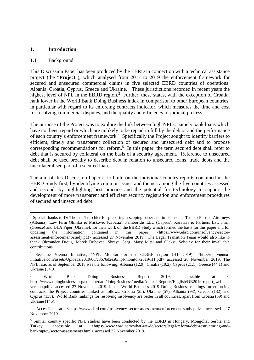#### <span id="page-6-0"></span>**1. Introduction**

#### <span id="page-6-1"></span>1.1 Background

 $\overline{a}$ 

This Discussion Paper has been produced by the EBRD in connection with a technical assistance project (the "**Project**"), which analysed from 2017 to 2019 the enforcement framework for secured and unsecured commercial claims in five selected EBRD countries of operations: Albania, Croatia, Cyprus, Greece and Ukraine.<sup>1</sup> These jurisdictions recorded in recent years the highest level of NPL in the EBRD region.<sup>2</sup> Further, these states, with the exception of Croatia, rank lower in the World Bank Doing Business index in comparison to other European countries, in particular with regard to its enforcing contracts indicator, which measures the time and cost for resolving commercial disputes, and the quality and efficiency of judicial process.<sup>3</sup>

The purpose of the Project was to explore the link between high NPLs, namely bank loans which have not been repaid or which are unlikely to be repaid in full by the debtor and the performance of each country's enforcement framework.<sup>4</sup> Specifically the Project sought to identify barriers to efficient, timely and transparent collection of secured and unsecured debt and to propose corresponding recommendations for reform.<sup>5</sup> In this paper, the term secured debt shall refer to debt that is secured by collateral on the basis of a security agreement. Reference to unsecured debt shall be used broadly to describe debt in relation to unsecured loans, trade debts and the uncollateralised part of a secured loan.

The aim of this Discussion Paper is to build on the individual country reports contained in the EBRD Study first, by identifying common issues and themes among the five countries assessed and second, by highlighting best practice and the potential for technology to support the development of more transparent and efficient security registration and enforcement procedures of secured and unsecured debt.

<sup>&</sup>lt;sup>1</sup> Special thanks to Dr Thomas Traschler for preparing a scoping paper and to counsel at Tashko Pustina Attorneys (Albania), Law Firm Glinska & Mišković (Croatia), Pamboridis LLC (Cyprus), Karatzas & Partners Law Firm (Greece) and DLA Piper (Ukraine), for their work on the EBRD Study which formed the basis for this paper and for updating the information contained in this paper: [<https://www.ebrd.com/insolvency-sector](https://www.ebrd.com/insolvency-sector-assessment/enforcement-study.pdf)[assessment/enforcement-study.pdf>](https://www.ebrd.com/insolvency-sector-assessment/enforcement-study.pdf) accessed 27 November 2019. The Legal Transition Team would also like to thank Olexander Droug, Marek Dubovec, Shreya Garg, Mary Mitsi and Oleksii Sobolev for their invaluable contributions.

<sup>&</sup>lt;sup>2</sup> See the Vienna Initiative, 'NPL Monitor for the CESEE region (H1 2019)' <http://npl.viennainitiative.com/assets/Uploads/2019/06/c3676d2ea8/npl-monitor-2019-H1.pdf> accessed 26 November 2019. The NPL ratio as of September 2018 was the following: Albania (12.9), Croatia (10.2), Cyprus (21.1), Greece (44.1) and Ukraine (54.3).

<sup>&</sup>lt;sup>3</sup> World Bank Doing Business Report 2019, accessible at < [https://www.doingbusiness.org/content/dam/doingBusiness/media/Annual-Reports/English/DB2019-report\\_web](https://www.doingbusiness.org/content/dam/doingBusiness/media/Annual-Reports/English/DB2019-report_web-version.pdf)[version.pdf](https://www.doingbusiness.org/content/dam/doingBusiness/media/Annual-Reports/English/DB2019-report_web-version.pdf) > accessed 27 November 2019. In the World Business 2019 Doing Business rankings for enforcing contracts, the Project countries ranked as follows: Croatia (25), Ukraine (57), Albania (98), Greece (132) and Cyprus (138). World Bank rankings for resolving insolvency are better in all countries, apart from Croatia (59) and Ukraine (145).

<sup>4</sup> Accessible at [<https://www.ebrd.com/insolvency-sector-assessment/enforcement-study.pdf>](https://www.ebrd.com/insolvency-sector-assessment/enforcement-study.pdf) accessed 27 November 2019.

<sup>5</sup> Similar country specific NPL studies have been conducted by the EBRD in Hungary, Mongolia, Serbia and Turkey, accessible at [<https://www.ebrd.com/what-we-do/sectors/legal-reform/debt-restructuring-and](https://www.ebrd.com/what-we-do/sectors/legal-reform/debt-restructuring-and-bankruptcy/sector-assessments.html)[bankruptcy/sector-assessments.html>](https://www.ebrd.com/what-we-do/sectors/legal-reform/debt-restructuring-and-bankruptcy/sector-assessments.html) accessed 27 November 2019.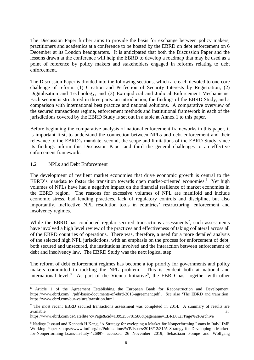The Discussion Paper further aims to provide the basis for exchange between policy makers, practitioners and academics at a conference to be hosted by the EBRD on debt enforcement on 6 December at its London headquarters. It is anticipated that both the Discussion Paper and the lessons drawn at the conference will help the EBRD to develop a roadmap that may be used as a point of reference by policy makers and stakeholders engaged in reforms relating to debt enforcement.

The Discussion Paper is divided into the following sections, which are each devoted to one core challenge of reform: (1) Creation and Perfection of Security Interests by Registration; (2) Digitalisation and Technology; and (3) Extrajudicial and Judicial Enforcement Mechanisms. Each section is structured in three parts: an introduction, the findings of the EBRD Study, and a comparison with international best practice and national solutions. A comparative overview of the secured transactions regime, enforcement methods and institutional framework in each of the jurisdictions covered by the EBRD Study is set out in a table at Annex 1 to this paper.

Before beginning the comparative analysis of national enforcement frameworks in this paper, it is important first, to understand the connection between NPLs and debt enforcement and their relevance to the EBRD's mandate, second, the scope and limitations of the EBRD Study, since its findings inform this Discussion Paper and third the general challenges to an effective enforcement framework.

## <span id="page-7-0"></span>1.2 NPLs and Debt Enforcement

 $\overline{a}$ 

The development of resilient market economies that drive economic growth is central to the EBRD's mandate to foster the transition towards open market-oriented economies.<sup>6</sup> Yet high volumes of NPLs have had a negative impact on the financial resilience of market economies in the EBRD region. The reasons for excessive volumes of NPL are manifold and include economic stress, bad lending practices, lack of regulatory controls and discipline, but also importantly, ineffective NPL resolution tools in countries' restructuring, enforcement and insolvency regimes.

While the EBRD has conducted regular secured transactions assessments<sup>7</sup>, such assessments have involved a high level review of the practices and effectiveness of taking collateral across all of the EBRD countries of operations. There was, therefore, a need for a more detailed analysis of the selected high NPL jurisdictions, with an emphasis on the process for enforcement of debt, both secured and unsecured, the institutions involved and the interaction between enforcement of debt and insolvency law. The EBRD Study was the next logical step.

The reform of debt enforcement regimes has become a top priority for governments and policy makers committed to tackling the NPL problem. This is evident both at national and international level.<sup>8</sup> As part of the Vienna Initiative<sup>9</sup>, the EBRD has, together with other

<sup>6</sup> Article 1 of the Agreement Establishing the European Bank for Reconstruction and Development: <https://www.ebrd.com/.../pdf-basic-documents-of-ebrd-2013-agreement.pdf> . See also 'The EBRD and transition' https://www.ebrd.com/our-values/transition.html

<sup>&</sup>lt;sup>7</sup> The most recent EBRD secured transactions assessment was completed in 2014. A summary of results are available at:

<https://www.ebrd.com/cs/Satellite?c=Page&cid=1395255781586&pagename=EBRD%2FPage%2FArchive>

<sup>8</sup> Nadège Jassaud and Kenneth H Kang, 'A Strategy for eveloping a Market for Nonperforming Loans in Italy' IMF Working Paper <https://www.imf.org/en/Publications/WP/Issues/2016/12/31/A-Strategy-for-Developing-a-Marketfor-Nonperforming-Loans-in-Italy-42689> accessed 26 November 2019; Sebastiaan Pompe and Wolfgang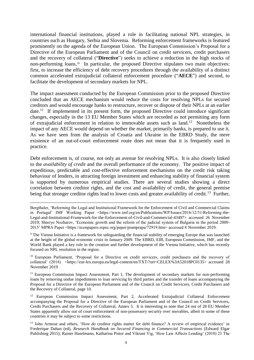international financial institutions, played a role in facilitating national NPL strategies, in countries such as Hungary, Serbia and Slovenia. Reforming enforcement frameworks is featured prominently on the agenda of the European Union. The European Commission's Proposal for a Directive of the European Parliament and of the Council on credit servicers, credit purchasers and the recovery of collateral ("**Directive**") seeks to achieve a reduction in the high stocks of non-performing loans.<sup>10</sup> In particular, the proposed Directive stipulates two main objectives: first, to increase the efficiency of debt recovery procedures through the availability of a distinct common accelerated extrajudicial collateral enforcement procedure ("**AECE**") and second, to facilitate the development of secondary markets for NPL.

The impact assessment conducted by the European Commission prior to the proposed Directive concluded that an AECE mechanism would reduce the costs for resolving NPLs for secured creditors and would encourage banks to restructure, recover or dispose of their NPLs at an earlier date.<sup>11</sup> If implemented in its present form, the proposed Directive could introduce significant changes, especially in the 13 EU Member States which are recorded as not permitting any form of extrajudicial enforcement in relation to immovable assets such as land.<sup>12</sup> Nonetheless the impact of any AECE would depend on whether the market, primarily banks, is prepared to use it. As we have seen from the analysis of Croatia and Ukraine in the EBRD Study, the mere existence of an out-of-court enforcement route does not mean that it is frequently used in practice.

Debt enforcement is, of course, not only an avenue for resolving NPLs. It is also closely linked to the *availability of credit* and the overall performance of the economy. The positive impact of expeditious, predictable and cost-effective enforcement mechanisms on the credit risk taking behaviour of lenders, in attracting foreign investment and enhancing stability of financial system is supported by numerous empirical studies. There are several studies showing a direct correlation between creditor rights, and the cost and availability of credit, the general premise being that stronger creditor rights lead to lower costs and greater availability of credit.<sup>13</sup> Further,

 $\overline{a}$ 

<sup>9</sup> The Vienna Initiative is a framework for safeguarding the financial stability of emerging Europe that was launched at the height of the global economic crisis in January 2009. The EBRD, EIB, European Commission, IMF, and the World Bank played a key role in the creation and further development of the Vienna Initiative, which has recently focused on NPL resolution in the region.

<sup>10</sup> European Parliament, 'Proposal for a Directive on credit servicers, credit purchasers and the recovery of collateral' (2018) <https://eur-lex.europa.eu/legal-content/en/TXT/?uri=CELEX%3A52018PC0135> accessed 28 November 2019

 $11$  European Commission Impact Assessment, Part 1, The development of secondary markets for non-performing loans by removing undue impediments to loan servicing by third parties and the transfer of loans accompanying the Proposal for a Directive of the European Parliament and of the Council on Credit Servicers, Credit Purchasers and the Recovery of Collateral, page 10.

<sup>12</sup> European Commission Impact Assessment, Part 2, Accelerated Extrajudicial Collateral Enforcement accompanying the Proposal for a Directive of the European Parliament and of the Council on Credit Servicers, Credit Purchasers and the Recovery of Collateral, Annex 5. It is interesting to note that 24 out of 28 EU Member States apparently allow out of court enforcement of non-possessory security over movables, albeit in some of these countries it may be subject to some restrictions.

<sup>13</sup> John Armour and others, 'How do creditor rights matter for debt finance? A review of empirical evidence' in Frederique Dahan (ed), *Research Handbook on Secured Financing in Commercial Transactions* (Edward Elgar Publishing 2015); Rainer Haselmann, Katharina Pistor and Vikrant Vig, 'How Law Affects Lending' (2010) 23 The

Bergthaler, 'Reforming the Legal and Institutional Framework for the Enforcement of Civil and Commercial Claims in Portugal' IMF Working Paper <https://www.imf.org/en/Publications/WP/Issues/2016/12/31/Reforming-the-Legal-and-Institutional-Framework-for-the-Enforcement-of-Civil-and-Commercial-43497> accessed 26 November 2019; Shteryo Nozharov, 'Economic growth and the reform of the judicial system of Bulgaria in the period 2000- 2015' MPRA Paper <https://econpapers.repec.org/paper/pramprapa/72919.htm> accessed 8 November 2019.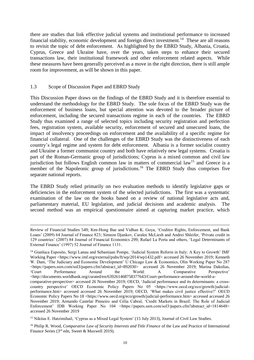there are studies that link effective judicial systems and institutional performance to increased financial stability, economic development and foreign direct investment.<sup>14</sup> These are all reasons to revisit the topic of debt enforcement. As highlighted by the EBRD Study, Albania, Croatia, Cyprus, Greece and Ukraine have, over the years, taken steps to enhance their secured transactions law, their institutional framework and other enforcement related aspects. While these measures have been generally perceived as a move in the right direction, there is still ample room for improvement, as will be shown in this paper.

#### <span id="page-9-0"></span>1.3 Scope of Discussion Paper and EBRD Study

 $\overline{a}$ 

This Discussion Paper draws on the findings of the EBRD Study and it is therefore essential to understand the methodology for the EBRD Study. The sole focus of the EBRD Study was the enforcement of business loans, but special attention was devoted to the broader picture of enforcement, including the secured transactions regime in each of the countries. The EBRD Study thus examined a range of selected topics including security registration and perfection fees, registration system, available security, enforcement of secured and unsecured loans, the impact of insolvency proceedings on enforcement and the availability of a specific regime for financial collateral. One of the challenges of the EBRD Study was the distinctiveness of each country's legal regime and system for debt enforcement. Albania is a former socialist country and Ukraine a former communist country and both have relatively new legal systems. Croatia is part of the Roman-Germanic group of jurisdictions; Cyprus is a mixed common and civil law jurisdiction but follows English common law in matters of commercial law<sup>15</sup> and Greece is a member of the Napoleonic group of jurisdictions.<sup>16</sup> The EBRD Study thus comprises five separate national reports.

The EBRD Study relied primarily on two evaluation methods to identify legislative gaps or deficiencies in the enforcement system of the selected jurisdictions. The first was a systematic examination of the law on the books based on a review of national legislative acts and, parliamentary material, EU legislation, and judicial decisions and academic analysis. The second method was an empirical questionnaire aimed at capturing market practice, which

<sup>15</sup> Nikitas E. Hatzimihail, 'Cyprus as a Mixed Legal System' (15 July 2013), Journal of Civil Law Studies.

Review of Financial Studies 549; Kee-Hong Bae and Vidhan K. Goya, 'Creditor Rights, Enforcement, and Bank Loans' (2009) 64 Journal of Finance 823; Simeon Djankov, Caralee McLiesh and Andrei Shleifer, 'Private credit in 129 countries' (2007) 84 Journal of Financial Economics 299; Rafael La Porta and others, 'Legal Determinants of External Finance' (1997) 52 Journal of Finance 1131.

<sup>14</sup> Gianluca Esposito, Sergi Lanau and Sebastiaan Pompe, 'Judicial System Reform in Italy: A Key to Growth' IMF Working Paper <https://www.imf.org/external/pubs/ft/wp/2014/wp1432.pdf> accessed 26 November 2019; Kenneth W. Dam, 'The Judiciary and Economic Development' U Chicago Law & Economics, Olin Working Paper No 287 <https://papers.ssrn.com/sol3/papers.cfm?abstract\_id=892030> accessed 26 November 2019; Marina Dakolias, 'Court Performance Around the World: A Comparative Perspective' <http://documents.worldbank.org/curated/en/639261468758377643/Court-performance-around-the-world-acomparative-perspective> accessed 26 November 2019; OECD, 'Judicial performance and its determinants: a crosscountry perspective' OECD Economic Policy Papers No 05 <https://www.oecd.org/eco/growth/judicialperformance.htm> accessed accessed 26 November 2019; OECD, 'What makes civil justice effective?' OECD Economic Policy Papers No 18 <https://www.oecd.org/eco/growth/judicial-performance.htm> accessed accessed 26 November 2019; Armando Castelar Pinneiro and Célia Cabral, 'Credit Markets in Brazil: The Role of Judicial Enforcement' IDB Working Paper No 104 <https://papers.ssrn.com/sol3/papers.cfm?abstract\_id=1814648> accessed 26 November 2019

<sup>16</sup> Philip R. Wood, *Comparative Law of Security Interests and Title Finance* of the Law and Practice of International Finance Series (3rd edn, Sweet & Maxwell 2019).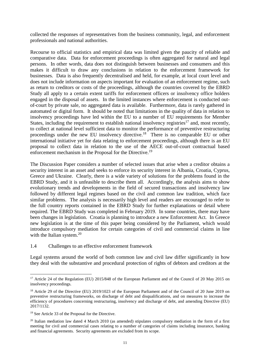collected the responses of representatives from the business community, legal, and enforcement professionals and national authorities.

Recourse to official statistics and empirical data was limited given the paucity of reliable and comparative data. Data for enforcement proceedings is often aggregated for natural and legal persons. In other words, data does not distinguish between businesses and consumers and this makes it difficult to draw any conclusions in relation to the enforcement framework for businesses. Data is also frequently decentralised and held, for example, at local court level and does not include information on aspects important for evaluation of an enforcement regime, such as return to creditors or costs of the proceedings, although the countries covered by the EBRD Study all apply to a certain extent tariffs for enforcement officers or insolvency office holders engaged in the disposal of assets. In the limited instances where enforcement is conducted outof-court by private sale, no aggregated data is available. Furthermore, data is rarely gathered in automated or digital form. It should be noted that limitations in the quality of data in relation to insolvency proceedings have led within the EU to a number of EU requirements for Member States, including the requirement to establish national insolvency registries<sup>17</sup> and, most recently, to collect at national level sufficient data to monitor the performance of preventive restructuring proceedings under the new EU insolvency directive.<sup>18</sup> There is no comparable EU or other international initiative yet for data relating to enforcement proceedings, although there is an EU proposal to collect data in relation to the use of the AECE out-of-court contractual based enforcement mechanism in the Proposal for the Directive.<sup>19</sup>

The Discussion Paper considers a number of selected issues that arise when a creditor obtains a security interest in an asset and seeks to enforce its security interest in Albania, Croatia, Cyprus, Greece and Ukraine. Clearly, there is a wide variety of solutions for the problems found in the EBRD Study, and it is unfeasible to describe them all. Accordingly, the analysis aims to show evolutionary trends and developments in the field of secured transactions and insolvency law followed by different legal regimes based on the civil and common law tradition, which face similar problems. The analysis is necessarily high level and readers are encouraged to refer to the full country reports contained in the EBRD Study for further explanations or detail where required. The EBRD Study was completed in February 2019. In some countries, there may have been changes in legislation. Croatia is planning to introduce a new Enforcement Act. In Greece new legislation is at the time of this paper being considered by the Parliament, which would introduce compulsory mediation for certain categories of civil and commercial claims in line with the Italian system.<sup>20</sup>

1.4 Challenges to an effective enforcement framework

Legal systems around the world of both common law and civil law differ significantly in how they deal with the substantive and procedural protection of rights of debtors and creditors at the

<sup>&</sup>lt;sup>17</sup> Article 24 of the Regulation (EU) 2015/848 of the European Parliament and of the Council of 20 May 2015 on insolvency proceedings.

<sup>&</sup>lt;sup>18</sup> Article 29 of the Directive (EU) 2019/1023 of the European Parliament and of the Council of 20 June 2019 on preventive restructuring frameworks, on discharge of debt and disqualifications, and on measures to increase the efficiency of procedures concerning restructuring, insolvency and discharge of debt, and amending Directive (EU) 2017/1132.

<sup>19</sup> See Article 33 of the Proposal for the Directive.

<sup>&</sup>lt;sup>20</sup> Italian mediation law dated 4 March 2010 (as amended) stipulates compulsory mediation in the form of a first meeting for civil and commercial cases relating to a number of categories of claims including insurance, banking and financial agreements. Security agreements are excluded from its scope.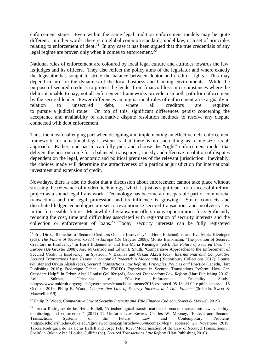enforcement stage. Even within the same legal tradition enforcement models may be quite different. In other words, there is no global common standard, model law, or a set of principles relating to enforcement of debt.<sup>21</sup> In any case it has been argued that the true credentials of any legal regime are proven only when it comes to enforcement.<sup>22</sup>

National rules of enforcement are coloured by local legal culture and attitudes towards the law, its judges and its officers. They also reflect the policy aims of the legislator and where exactly the legislator has sought to strike the balance between debtor and creditor rights. This may depend in turn on the dynamics of the local business and banking environments. While the purpose of secured credit is to protect the lender from financial loss in circumstances where the debtor is unable to pay, not all enforcement frameworks provide a smooth path for enforcement by the secured lender. Fewer differences among national rules of enforcement arise arguably in relation to unsecured debt, where all creditors are required to pursue a judicial route. On top of this, significant differences persist concerning the acceptance and availability of alternative dispute resolution methods to resolve any dispute connected with debt enforcement.

Thus, the most challenging part when designing and implementing an effective debt enforcement framework for a national legal system is that there is no such thing as a one-size-fits-all approach. Rather, one has to carefully pick and choose the "right" enforcement model that delivers the best outcome for a balanced, transparent, speedy and effective resolution of disputes dependent on the legal, economic and political premises of the relevant jurisdiction. Inevitably, the choices made will determine the attractiveness of a particular jurisdiction for international investment and extension of credit.

Nowadays, there is also no doubt that a discussion about enforcement cannot take place without stressing the relevance of modern technology, which is just as significant for a successful reform project as a sound legal framework. Technology has become an inseparable part of commercial transactions and the legal profession and its influence is growing. Smart contracts and distributed ledger technologies are set to revolutionise secured transactions and insolvency law in the foreseeable future. Meanwhile digitalisation offers many opportunities for significantly reducing the cost, time and difficulties associated with registration of security interests and the collection or enforcement of loans.<sup>23</sup> Today, security interests can be fully registered

 $\overline{a}$ <sup>21</sup> Eric Dirix, 'Remedies of Secured Creditors Outside Insolvency' in Horst Eidenmüller and Eva-Maria Kieninger (eds), *The Future of Secured Credit in Europe* (De Gruyter 2008); Moritz Brinkmann, 'The position of Secured Creditors in Insolvency' in Horst Eidenmüller and Eva-Maria Kieninger (eds), *The Future of Secured Credit in Europe* (De Gruyter 2008); José M Garrido and Edwin E Smith, 'Comparative Approaches to the Enforcement of Secured Credit in Insolvency' in Spyridon V Bazinas and Orkun Akseli (eds), *International and Comparative Secured Transactions Law: Essays in honour of Roderick A Macdonald* (Bloomsbury Collections 2017); Louise Gullifer and Orkun Akseli (eds), *Secured Transactions Law Reform: Principles, Policies and Practice* (1st edn, Hart Publishing 2016); Frederique Dahan, 'The EBRD's Experience in Secured Transactions Reform: How Can Outsiders Help?' in Orkun Akseli Louise Gullifer (ed), *Secured Transactions Law Reform* (Hart Publishing 2016); Rolf Stürner, 'Principles of Effective Enforcement Feasibility Study' <https://www.unidroit.org/english/governments/councildocuments/2016session/cd-95-13add-02-e.pdf> accessed 15 October 2019; Philip R. Wood, *Comparative Law of Security Interests and Title Finance* (3rd edn, Sweet & Maxwell 2019).

<sup>22</sup> Philip R. Wood, *Comparative Law of Security Interests and Title Finance* (3rd edn, Sweet & Maxwell 2019)

<sup>&</sup>lt;sup>23</sup> Teresa Rodríguez de las Heras Ballell, 'A technological transformation of secured transactions law: visibility, monitoring, and enforcement' (2017) 22 Uniform Law Review Charles W. Mooney, 'Fintech and Secured Transactions Systems of the Future' Law and Contemporary Problems <https://scholarship.law.duke.edu/cgi/viewcontent.cgi?article=4854&context=lcp> accessed 20 November 2019; Teresa Rodríguez de las Heras Ballell and Jorge Feliu Rey, 'Modernisation of the Law of Secured Transactions in Spain' in Orkun Akseli Louise Gullifer (ed), *Secured Transactions Law Reform* (Hart Publishing 2016).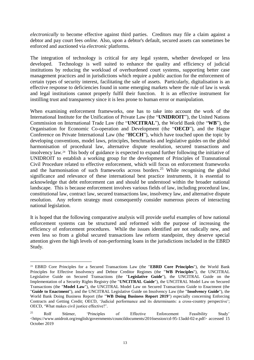*electronically* to become effective against third parties. Creditors may file a claim against a debtor and pay court fees *online.* Also, upon a debtor's default, secured assets can sometimes be enforced and auctioned via *electronic* platforms.

The integration of technology is critical for any legal system, whether developed or less developed. Technology is well suited to enhance the quality and efficiency of judicial institutions by reducing the workload of overburdened court systems, supporting better case management practices and in jurisdictions which require a public auction for the enforcement of certain types of security interest, facilitating the sale of assets. Particularly, digitalisation is an effective response to deficiencies found in some emerging markets where the rule of law is weak and legal institutions cannot properly fulfil their function. It is an effective instrument for instilling trust and transparency since it is less prone to human error or manipulation.

When examining enforcement frameworks, one has to take into account the work of the International Institute for the Unification of Private Law (the "**UNIDROIT**"), the United Nations Commission on International Trade Law (the "**UNCITRAL**"), the World Bank (the "**WB**"), the Organisation for Economic Co-operation and Development (the "**OECD**"), and the Hague Conference on Private International Law (the "**HCCH**"), which have touched upon the topic by developing conventions, model laws, principles, benchmarks and legislative guides on the global harmonisation of procedural law, alternative dispute resolution, secured transactions and insolvency law.<sup>24</sup> This body of guidance is expected to expand further following the initiative of UNIDROIT to establish a working group for the development of Principles of Transnational Civil Procedure related to effective enforcement, which will focus on enforcement frameworks and the harmonisation of such frameworks across borders. <sup>25</sup> While recognising the global significance and relevance of these international best practice instruments, it is essential to acknowledge that debt enforcement can and should be understood within the broader national landscape. This is because enforcement involves various fields of law, including procedural law, constitutional law, contract law, secured transactions law, insolvency law, and alternative dispute resolution. Any reform strategy must consequently consider numerous pieces of interacting national legislation.

It is hoped that the following comparative analysis will provide useful examples of how national enforcement systems can be structured and reformed with the purpose of increasing the efficiency of enforcement procedures. While the issues identified are not radically new, and even less so from a global secured transactions law reform standpoint, they deserve special attention given the high levels of non-performing loans in the jurisdictions included in the EBRD Study.

<sup>24</sup> EBRD Core Principles for a Secured Transactions Law (the "**EBRD Core Principles**"), the World Bank Principles for Effective Insolvency and Debtor Creditor Regimes (the "**WB Principles**"), the UNCITRAL Legislative Guide on Secured Transactions (the "**Legislative Guide**"), the UNCITRAL Guide on the Implementation of a Security Rights Registry (the "**UNCITRAL Guide**"), the UNCITRAL Model Law on Secured Transactions (the "**Model Law**"), the UNCITRAL Model Law on Secured Transactions Guide to Enactment (the "**Guide to Enactment**"), and the UNCITRAL Legislative Guide on Insolvency Law (the "**Insolvency Guide**"), the World Bank Doing Business Report (the "**WB Doing Business Report 2019**") especially concerning Enforcing Contracts and Getting Credit; OECD, 'Judicial performance and its determinants: a cross-country perspective'; OECD, 'What makes civil justice effective?'.

<sup>25</sup> Rolf Stürner, 'Principles of Effective Enforcement Feasibility Study' [<https://www.unidroit.org/english/governments/councildocuments/2016session/cd-95-13add-02-e.pdf>](https://www.unidroit.org/english/governments/councildocuments/2016session/cd-95-13add-02-e.pdf) accessed 15 October 2019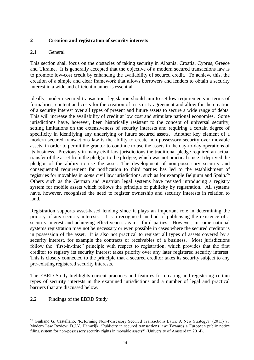## **2 Creation and registration of security interests**

## 2.1 General

This section shall focus on the obstacles of taking security in Albania, Croatia, Cyprus, Greece and Ukraine. It is generally accepted that the objective of a modern secured transactions law is to promote low-cost credit by enhancing the availability of secured credit. To achieve this, the creation of a simple and clear framework that allows borrowers and lenders to obtain a security interest in a wide and efficient manner is essential.

Ideally, modern secured transactions legislation should aim to set low requirements in terms of formalities, content and costs for the creation of a security agreement and allow for the creation of a security interest over all types of present and future assets to secure a wide range of debts. This will increase the availability of credit at low cost and stimulate national economies. Some jurisdictions have, however, been historically resistant to the concept of universal security, setting limitations on the extensiveness of security interests and requiring a certain degree of specificity in identifying any underlying or future secured assets. Another key element of a modern secured transactions law is the ability to create non-possessory security over movable assets, in order to permit the grantor to continue to use the assets in the day-to-day operations of its business. Previously in many civil law jurisdictions the traditional pledge required an actual transfer of the asset from the pledgor to the pledgee, which was not practical since it deprived the pledgor of the ability to use the asset. The development of non-possessory security and consequential requirement for notification to third parties has led to the establishment of registries for movables in *some* civil law jurisdictions, such as for example Belgium and Spain. 26 Others such as the German and Austrian legal systems have resisted introducing a registry system for mobile assets which follows the principle of publicity by registration. All systems have, however, recognised the need to register ownership and security interests in relation to land.

Registration supports asset-based lending since it plays an important role in determining the priority of any security interests. It is a recognised method of publicising the existence of a security interest and achieving effectiveness against third parties. However, in some national systems registration may not be necessary or even possible in cases where the secured creditor is in possession of the asset. It is also not practical to register all types of assets covered by a security interest, for example the contracts or receivables of a business. Most jurisdictions follow the "first-in-time" principle with respect to registration, which provides that the first creditor to registry its security interest takes priority over any later registered security interest. This is closely connected to the principle that a secured creditor takes its security subject to any pre-existing registered security interests.

The EBRD Study highlights current practices and features for creating and registering certain types of security interests in the examined jurisdictions and a number of legal and practical barriers that are discussed below.

2.2 Findings of the EBRD Study

<sup>&</sup>lt;sup>26</sup> Giuliano G. Castellano, 'Reforming Non-Possessory Secured Transactions Laws: A New Strategy?' (2015) 78 Modern Law Review; D.J.Y. Hamwijk, 'Publicity in secured transactions law: Towards a European public notice filing system for non-possessory security rights in movable assets?' (University of Amsterdam 2014).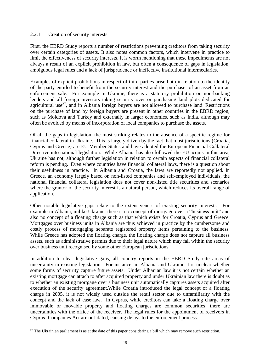## 2.2.1 Creation of security interests

First, the EBRD Study reports a number of restrictions preventing creditors from taking security over certain categories of assets. It also notes common factors, which intervene in practice to limit the effectiveness of security interests. It is worth mentioning that these impediments are not always a result of an explicit prohibition in law, but often a consequence of gaps in legislation, ambiguous legal rules and a lack of jurisprudence or ineffective institutional intermediaries.

Examples of explicit prohibitions in respect of third parties arise both in relation to the identity of the party entitled to benefit from the security interest and the purchaser of an asset from an enforcement sale. For example in Ukraine, there is a statutory prohibition on non-banking lenders and all foreign investors taking security over or purchasing land plots dedicated for agricultural use<sup>27</sup>, and in Albania foreign buyers are not allowed to purchase land. Restrictions on the purchase of land by foreign buyers are present in other countries in the EBRD region, such as Moldova and Turkey and externally in larger economies, such as India, although may often be avoided by means of incorporation of local companies to purchase the assets.

Of all the gaps in legislation, the most striking relates to the absence of a specific regime for financial collateral in Ukraine. This is largely driven by the fact that most jurisdictions (Croatia, Cyprus and Greece) are EU Member States and have adopted the European Financial Collateral Directive into national legislation. While Albania has also followed the EU acquis in this area, Ukraine has not, although further legislation in relation to certain aspects of financial collateral reform is pending. Even where countries have financial collateral laws, there is a question about their usefulness in practice. In Albania and Croatia, the laws are reportedly not applied. In Greece, an economy largely based on non-listed companies and self-employed individuals, the national financial collateral legislation does not cover non-listed title securities and scenarios where the grantor of the security interest is a natural person, which reduces its overall range of application.

Other notable legislative gaps relate to the extensiveness of existing security interests. For example in Albania, unlike Ukraine, there is no concept of mortgage over a "business unit" and also no concept of a floating charge such as that which exists for Croatia, Cyprus and Greece. Mortgages over business units in Albania are thus achieved in practice by the cumbersome and costly process of mortgaging separate registered property items pertaining to the business. While Greece has adopted the floating charge, the floating charge does not capture all business assets, such as administrative permits due to their legal nature which may fall within the security over business unit recognised by some other European jurisdictions.

In addition to clear legislative gaps, all country reports in the EBRD Study cite areas of uncertainty in existing legislation. For instance, in Albania and Ukraine it is unclear whether some forms of security capture future assets. Under Albanian law it is not certain whether an existing mortgage can attach to after acquired property and under Ukrainian law there is doubt as to whether an existing mortgage over a business unit automatically captures assets acquired after execution of the security agreement.While Croatia introduced the legal concept of a floating charge in 2005, it is not widely used outside the retail sector due to unfamiliarity with the concept and the lack of case law. In Cyprus, while creditors can take a floating charge over immovable or movable property and floating charges are common securities, there are uncertainties with the office of the receiver. The legal rules for the appointment of receivers in Cyprus' Companies Act are out-dated, causing delays to the enforcement process.

 $\overline{a}$  $27$  The Ukrainian parliament is as at the date of this paper considering a bill which may remove such restriction.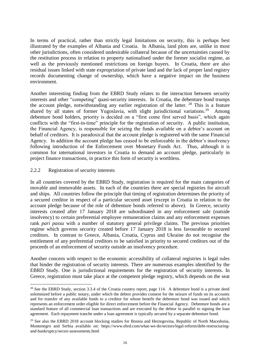In terms of practical, rather than strictly legal limitations on security, this is perhaps best illustrated by the examples of Albania and Croatia. In Albania, land plots are, unlike in most other jurisdictions, often considered undesirable collateral because of the uncertainties caused by the restitution process in relation to property nationalised under the former socialist regime, as well as the previously mentioned restrictions on foreign buyers. In Croatia, there are also residual issues linked with state expropriation of private land and the lack of proper land registry records documenting change of ownership, which have a negative impact on the business environment.

Another interesting finding from the EBRD Study relates to the interaction between security interests and other "competing" quasi-security interests. In Croatia, the debenture bond trumps the account pledge, notwithstanding any earlier registration of the latter.  $28$  This is a feature shared by all states of former Yugoslavia, with slight jurisdictional variations.<sup>29</sup> Among debenture bond holders, priority is decided on a "first come first served basis", which again conflicts with the "first-in-time" principle for the registration of security. A public institution, the Financial Agency, is responsible for seizing the funds available on a debtor's account on behalf of creditors. It is paradoxical that the account pledge is registered with the same Financial Agency. In addition the account pledge has ceased to be enforceable in the debtor's insolvency following introduction of the Enforcement over Monetary Funds Act. Thus, although it is common for international investors in Croatia to demand an account pledge, particularly in project finance transactions, in practice this form of security is worthless.

## 2.2.2 Registration of security interests

 $\overline{a}$ 

In all countries covered by the EBRD Study, registration is required for the main categories of movable and immovable assets. In each of the countries there are special registries for aircraft and ships. All countries follow the principle that timing of registration determines the priority of a secured creditor in respect of a particular secured asset (except in Croatia in relation to the account pledge because of the role of debenture bonds referred to above). In Greece, security interests created after 17 January 2018 are subordinated in any enforcement sale (outside insolvency) to certain preferential employee remuneration claims and any enforcement expenses rank *pari passu* with a number of statutory general privilege claims. The previous priorities regime which governs security created before 17 January 2018 is less favourable to secured creditors. In contrast to Greece, Albania, Croatia, Cyprus and Ukraine do not recognise the entitlement of any preferential creditors to be satisfied in priority to secured creditors out of the proceeds of an enforcement of security outside an insolvency procedure.

Another concern with respect to the economic accessibility of collateral registries is legal rules that hinder the registration of security interests. There are numerous examples identified by the EBRD Study. One is jurisdictional requirements for the registration of security interests. In Greece, registration must take place at the competent pledge registry, which depends on the seat

<sup>&</sup>lt;sup>28</sup> See the EBRD Study, section 3.3.4 of the Croatia country report, page 114. A debenture bond is a private deed solemnized before a public notary, under which the debtor provides consent for the seizure of funds on its accounts and for transfer of any available funds to a creditor for whose benefit the debenture bond was issued and which represents an enforcement order eligible for direct enforcement before the Financial Agency. Debenture bonds are a standard feature of all commercial loan transactions and are executed by the debtor in parallel to signing the loan agreement. Each repayment tranche under a loan agreement is typically secured by a separate debenture bond.

<sup>&</sup>lt;sup>29</sup> See also the EBRD 2018 account blocking studies for Bosnia and Herzegovina, Republic of North Macedonia, Montenegro and Serbia available on: [https://www.ebrd.com/what-we-do/sectors/legal-reform/debt-restructuring](https://www.ebrd.com/what-we-do/sectors/legal-reform/debt-restructuring-and-bankruptcy/sector-assessments.html)[and-bankruptcy/sector-assessments.html](https://www.ebrd.com/what-we-do/sectors/legal-reform/debt-restructuring-and-bankruptcy/sector-assessments.html)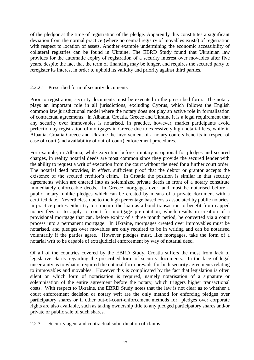of the pledgor at the time of registration of the pledge. Apparently this constitutes a significant deviation from the normal practice (where no central registry of movables exists) of registration with respect to location of assets. Another example undermining the economic accessibility of collateral registries can be found in Ukraine. The EBRD Study found that Ukrainian law provides for the automatic expiry of registration of a security interest over movables after five years, despite the fact that the term of financing may be longer, and requires the secured party to reregister its interest in order to uphold its validity and priority against third parties.

## 2.2.2.1 Prescribed form of security documents

Prior to registration, security documents must be executed in the prescribed form. The notary plays an important role in all jurisdictions, excluding Cyprus, which follows the English common law jurisdictional model where the notary does not play an active role in formalisation of contractual agreements. In Albania, Croatia, Greece and Ukraine it is a legal requirement that any security over immovables is notarised. In practice, however, market participants avoid perfection by registration of mortgages in Greece due to excessively high notarial fees, while in Albania, Croatia Greece and Ukraine the involvement of a notary confers benefits in respect of ease of court (and availability of out-of-court) enforcement procedures.

For example, in Albania, while execution before a notary is optional for pledges and secured charges, in reality notarial deeds are most common since they provide the secured lender with the ability to request a writ of execution from the court without the need for a further court order. The notarial deed provides, in effect, sufficient proof that the debtor or grantor accepts the existence of the secured creditor's claim. In Croatia the position is similar in that security agreements which are entered into as solemnized private deeds in front of a notary constitute immediately enforceable deeds. In Greece mortgages over land must be notarised before a public notary, unlike pledges which can be created by means of a private document with a certified date. Nevertheless due to the high percentage based costs associated by public notaries, in practice parties either try to structure the loan as a bond transaction to benefit from capped notary fees or to apply to court for mortgage pre-notation, which results in creation of a provisional mortgage that can, before expiry of a three month period, be converted via a court process into a permanent mortgage. In Ukraine, mortgages created over immovables must be notarised, and pledges over movables are only required to be in writing and can be notarised voluntarily if the parties agree. However pledges must, like mortgages, take the form of a notarial writ to be capable of extrajudicial enforcement by way of notarial deed.

Of all of the countries covered by the EBRD Study, Croatia suffers the most from lack of legislative clarity regarding the prescribed form of security documents. In the face of legal uncertainty as to what is required the notarial form prevails for both security agreements relating to immovables and movables. However this is complicated by the fact that legislation is often silent on which form of notarisation is required, namely notarisation of a signature or solemnisation of the entire agreement before the notary, which triggers higher transactional costs. With respect to Ukraine, the EBRD Study notes that the law is not clear as to whether a court enforcement decision or notary writ are the only method for enforcing pledges over participatory shares or if other out-of-court-enforcement methods for pledges over corporate rights are also available, such as taking ownership title to any pledged participatory shares and/or private or public sale of such shares.

2.2.3 Security agent and contractual subordination of claims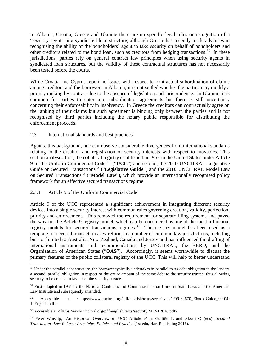In Albania, Croatia, Greece and Ukraine there are no specific legal rules or recognition of a "security agent" in a syndicated loan structure, although Greece has recently made advances in recognising the ability of the bondholders' agent to take security on behalf of bondholders and other creditors related to the bond loan, such as creditors from hedging transactions.<sup>30</sup> In these jurisdictions, parties rely on general contract law principles when using security agents in syndicated loan structures, but the validity of these contractual structures has not necessarily been tested before the courts.

While Croatia and Cyprus report no issues with respect to contractual subordination of claims among creditors and the borrower, in Albania, it is not settled whether the parties may modify a priority ranking by contract due to the absence of legislation and jurisprudence. In Ukraine, it is common for parties to enter into subordination agreements but there is still uncertainty concerning their enforceability in insolvency. In Greece the creditors can contractually agree on the ranking of their claims but such agreement is binding only between the parties and is not recognised by third parties including the notary public responsible for distributing the enforcement proceeds.

#### 2.3 International standards and best practices

Against this background, one can observe considerable divergences from international standards relating to the creation and registration of security interests with respect to movables. This section analyses first, the collateral registry established in 1952 in the United States under Article 9 of the Uniform Commercial Code<sup>31</sup> ("**UCC**") and second, the 2010 UNCITRAL Legislative Guide on Secured Transactions<sup>32</sup> ("Legislative Guide") and the 2016 UNCITRAL Model Law on Secured Transactions<sup>33</sup> ("**Model Law**"), which provide an internationally recognised policy framework for an effective secured transactions regime.

## 2.3.1 Article 9 of the Uniform Commercial Code

 $\overline{a}$ 

Article 9 of the UCC represented a significant achievement in integrating different security devices into a single security interest with common rules governing creation, validity, perfection, priority and enforcement. This removed the requirement for separate filing systems and paved the way for the Article 9 registry model, which can be considered as one of the most influential registry models for secured transactions regimes.<sup>34</sup> The registry model has been used as a template for secured transactions law reform in a number of common law jurisdictions, including but not limited to Australia, New Zealand, Canada and Jersey and has influenced the drafting of international instruments and recommendations by UNCITRAL, the EBRD, and the Organization of American States ("**OAS**"). Accordingly, it seems worthwhile to discuss the primary features of the public collateral registry of the UCC. This will help to better understand

<sup>&</sup>lt;sup>30</sup> Under the parallel debt structure, the borrower typically undertakes in parallel to its debt obligation to the lenders a second, parallel obligation in respect of the entire amount of the same debt to the security trustee, thus allowing security to be created in favour of the security trustee.

<sup>&</sup>lt;sup>31</sup> First adopted in 1951 by the National Conference of Commissioners on Uniform State Laws and the American Law Institute and subsequently amended.

<sup>32</sup> Accessible at <https://www.uncitral.org/pdf/english/texts/security-lg/e/09-82670\_Ebook-Guide\_09-04- 10English.pdf >

<sup>33</sup> Accessible at < https://www.uncitral.org/pdf/english/texts/security/MLST2016.pdf>

<sup>34</sup> Peter Winship, 'An Historical Overview of UCC Article 9' in Gullifer L and Akseli O (eds), *Secured Transactions Law Reform: Principles, Policies and Practice* (1st edn, Hart Publishing 2016).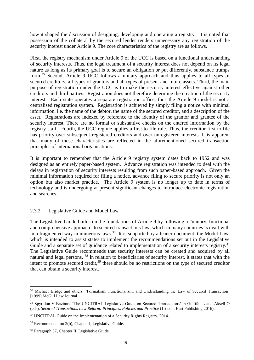how it shaped the discussion of designing, developing and operating a registry. It is noted that possession of the collateral by the secured lender renders unnecessary any registration of the security interest under Article 9. The core characteristics of the registry are as follows.

First, the registry mechanism under Article 9 of the UCC is based on a functional understanding of security interests. Thus, the legal treatment of a security interest does not depend on its legal nature as long as its primary goal is to secure an obligation or put differently, substance trumps form.<sup>35</sup> Second, Article 9 UCC follows a unitary approach and thus applies to all types of secured creditors, all types of grantors and all types of present and future assets. Third, the main purpose of registration under the UCC is to make the security interest effective against other creditors and third parties. Registration does not therefore determine the creation of the security interest. Each state operates a separate registration office, thus the Article 9 model is not a centralised registration system. Registration is achieved by simply filing a notice with minimal information, i.e. the name of the debtor, the name of the secured creditor, and a description of the asset. Registrations are indexed by reference to the identity of the grantor and grantee of the security interest. There are no formal or substantive checks on the entered information by the registry staff. Fourth, the UCC regime applies a first-to-file rule. Thus, the creditor first to file has priority over subsequent registered creditors and over unregistered interests. It is apparent that many of these characteristics are reflected in the aforementioned secured transaction principles of international organisations.

It is important to remember that the Article 9 registry system dates back to 1952 and was designed as an entirely paper-based system. Advance registration was intended to deal with the delays in registration of security interests resulting from such paper-based approach. Given the minimal information required for filing a notice, advance filing to secure priority is not only an option but also market practice. The Article 9 system is no longer up to date in terms of technology and is undergoing at present significant changes to introduce electronic registration and searches.

## 2.3.2 Legislative Guide and Model Law

The Legislative Guide builds on the foundations of Article 9 by following a "unitary, functional and comprehensive approach" to secured transactions law, which in many countries is dealt with in a fragmented way in numerous laws.<sup>36</sup> It is supported by a leaner document, the Model Law, which is intended to assist states to implement the recommendations set out in the Legislative Guide and a separate set of guidance related to implementation of a security interests registry.<sup>37</sup> The Legislative Guide recommends that security interests can be created and acquired by all natural and legal persons. <sup>38</sup> In relation to beneficiaries of security interest, it states that with the intent to promote secured credit, $39$  there should be no restrictions on the type of secured creditor that can obtain a security interest.

<sup>&</sup>lt;sup>35</sup> Michael Bridge and others, 'Formalism, Functionalism, and Understanding the Law of Secured Transaction' [1999] McGill Law Journal.

<sup>36</sup> Spyridon V Bazinas, 'The UNCITRAL Legislative Guide on Secured Transactions' in Gullifer L and Akseli O (eds), *Secured Transactions Law Reform: Principles, Policies and Practice* (1st edn, Hart Publishing 2016).

<sup>&</sup>lt;sup>37</sup> UNCITRAL Guide on the Implementation of a Security Rights Registry, 2014.

<sup>38</sup> Recommendation 2(b), Chapter I, Legislative Guide.

<sup>39</sup> Paragraph 37, Chapter II, Legislative Guide.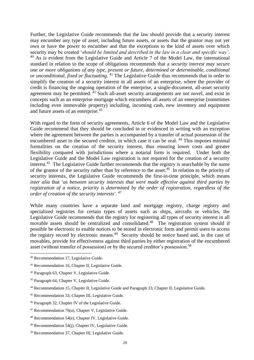Further, the Legislative Guide recommends that the law should provide that a security interest may encumber any type of asset, including future assets, or assets that the grantor may not yet own or have the power to encumber and that the exceptions to the kind of assets over which security may be created '*should be limited and described in the law in a clear and specific way'*.  $40$  As is evident from the Legislative Guide and Article 7 of the Model Law, the international standard in relation to the scope of obligations recommends that a *security interest may secure one or more obligations of any type, present or future, determined or determinable, conditional or unconditional, fixed or fluctuating*. <sup>41</sup> The Legislative Guide thus recommends that in order to simplify the creation of a security interest in all assets of an enterprise, where the provider of credit is financing the ongoing operation of the enterprise, a single-document, all-asset security agreement may be permitted.  $42$  Such all-asset security arrangements are not novel, and exist in concepts such as an enterprise mortgage which encumbers all assets of an enterprise (sometimes including even immovable property) including, incoming cash, new inventory and equipment and future assets of an enterprise.<sup>43</sup>

With regard to the form of security agreements, Article 6 of the Model Law and the Legislative Guide recommend that they should be concluded in or evidenced in writing with an exception where the agreement between the parties is accompanied by a transfer of actual possession of the encumbered asset to the secured creditor, in which case it can be oral.<sup>44</sup> This imposes minimal formalities on the creation of the security interest, thus ensuring lower costs and greater flexibility compared with jurisdictions where a notarial form is required. Under both the Legislative Guide and the Model Law registration is not required for the creation of a security interest.<sup>45</sup> The Legislative Guide further recommends that the registry is searchable by the name of the grantor of the security rather than by reference to the asset.<sup>46</sup> In relation to the priority of security interests, the Legislative Guide recommends the first-in-time principle, which means *inter alia* that '*as between security interests that were made effective against third parties by registration of a notice, priority is determined by the order of registration, regardless of the order of creation of the security interests*'. <sup>47</sup>

While many countries have a separate land and mortgage registry, charge registry and specialized registries for certain types of assets such as ships, aircrafts or vehicles, the Legislative Guide recommends that the registry for registering all types of security interest in all movable assets should be centralized and consolidated.<sup>48</sup> The registration system should if possible be electronic to enable notices to be stored in electronic form and permit users to access the registry record by electronic means.<sup>49</sup> Security should be notice based and, in the case of movables, provide for effectiveness against third parties by either registration of the encumbered asset (without transfer of possession) or by the secured creditor's possession.<sup>50</sup>

<sup>40</sup> Recommendation 17, Legislative Guide.

<sup>41</sup> Recommendation 16, Chapter II, Legislative Guide.

<sup>42</sup> Paragraph 63, Chapter V, Legislative Guide.

<sup>43</sup> Paragraph 64, Chapter V, Legislative Guide.

<sup>44</sup> Recommendation 15, Chapter II, Legislative Guide and Paragraph 33, Chapter II, Legislative Guide.

<sup>45</sup> Recommendation 33, Chapter III, Legislative Guide.

<sup>46</sup> Paragraph 32, Chapter IV of the Legislative Guide.

 $47$  Recommendation 76(a), Chapter V, Legislative Guide.

<sup>48</sup> Recommendation 54(e), Chapter IV, Legislative Guide.

 $49$  Recommendation 54(j), Chapter IV, Legislative Guide.

<sup>50</sup> Recommendation 37, Chapter III, Legislative Guide.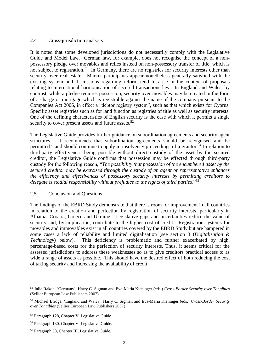## 2.4 Cross-jurisdiction analysis

It is noted that some developed jurisdictions do not necessarily comply with the Legislative Guide and Model Law. German law, for example, does not recognise the concept of a nonpossessory pledge over movables and relies instead on non-possessory transfer of title, which is not subject to registration.<sup>51</sup> In Germany, there are no registries for security interests other than security over real estate. Market participants appear nonetheless generally satisfied with the existing system and discussions regarding reform tend to arise in the context of proposals relating to international harmonisation of secured transactions law. In England and Wales, by contrast, while a pledge requires possession, security over movables may be created in the form of a charge or mortgage which is registrable against the name of the company pursuant to the Companies Act 2006, in effect a "debtor registry system", such as that which exists for Cyprus. Specific asset registries such as for land function as registries of title as well as security interests. One of the defining characteristics of English security is the ease with which it permits a single security to cover present assets and future assets.<sup>52</sup>

The Legislative Guide provides further guidance on subordination agreements and security agent structures. It recommends that subordination agreements should be recognised and be permitted<sup>53</sup> and should continue to apply in insolvency proceedings of a grantor.<sup>54</sup> In relation to third-party effectiveness being possible without direct custody of the asset by the secured creditor, the Legislative Guide confirms that possession may be effected through third-party custody for the following reason, "*The possibility that possession of the encumbered asset by the secured creditor may be exercised through the custody of an agent or representative enhances the efficiency and effectiveness of possessory security interests by permitting creditors to delegate custodial responsibility without prejudice to the rights of third parties*."<sup>55</sup>

#### 2.5 Conclusion and Questions

The findings of the EBRD Study demonstrate that there is room for improvement in all countries in relation to the creation and perfection by registration of security interests, particularly in Albania, Croatia, Greece and Ukraine. Legislative gaps and uncertainties reduce the value of security and, by implication, contribute to the higher cost of credit. Registration systems for movables and immovables exist in all countries covered by the EBRD Study but are hampered in some cases a lack of reliability and limited digitalisation (see section 3 (*Digitalisation & Technology*) below). This deficiency is problematic and further exacerbated by high, percentage-based costs for the perfection of security interests. Thus, it seems critical for the assessed jurisdictions to address these weaknesses so as to give creditors practical access to as wide a range of assets as possible. This should have the desired effect of both reducing the cost of taking security and increasing the availability of credit.

<sup>51</sup> Julia Rakob, 'Germany', Harry C. Sigman and Eva-Maria Kieninger (eds.) *Cross-Border Security over Tangibles*  (Sellier European Law Publishers 2007)

<sup>52</sup> Michael Bridge, 'England and Wales', Harry C. Sigman and Eva-Maria Kieninger (eds.) *Cross-Border Security over Tangibles* (Sellier European Law Publishers 2007)

<sup>53</sup> Paragraph 128, Chapter V, Legislative Guide.

<sup>54</sup> Paragraph 130, Chapter V, Legislative Guide.

<sup>55</sup> Paragraph 58, Chapter III, Legislative Guide.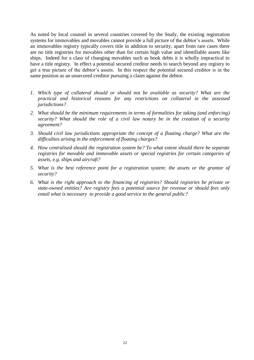As noted by local counsel in several countries covered by the Study, the existing registration systems for immovables and movables cannot provide a full picture of the debtor's assets. While an immovables registry typically covers title in addition to security, apart from rare cases there are no title registries for movables other than for certain high value and identifiable assets like ships. Indeed for a class of changing movables such as book debts it is wholly impractical to have a title registry. In effect a potential secured creditor needs to search beyond any registry to get a true picture of the debtor's assets. In this respect the potential secured creditor is in the same position as an unsecured creditor pursuing a claim against the debtor.

- *1. Which type of collateral should or should not be available as security? What are the practical and historical reasons for any restrictions on collateral in the assessed jurisdictions?*
- *2. What should be the minimum requirements in terms of formalities for taking (and enforcing) security? What should the role of a civil law notary be in the creation of a security agreement?*
- *3. Should civil law jurisdictions appropriate the concept of a floating charge? What are the difficulties arising in the enforcement of floating charges?*
- *4. How centralised should the registration system be? To what extent should there be separate registries for movable and immovable assets or special registries for certain categories of assets, e.g. ships and aircraft?*
- *5. What is the best reference point for a registration system: the assets or the grantor of security?*
- *6. What is the right approach to the financing of registries? Should registries be private or state-owned entities? Are registry fees a potential source for revenue or should fees only entail what is necessary to provide a good service to the general public?*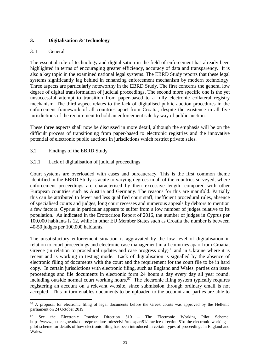## **3. Digitalisation & Technology**

## 3. 1 General

 $\overline{a}$ 

The essential role of technology and digitalisation in the field of enforcement has already been highlighted in terms of encouraging greater efficiency, accuracy of data and transparency. It is also a key topic in the examined national legal systems. The EBRD Study reports that these legal systems significantly lag behind in enhancing enforcement mechanism by modern technology. Three aspects are particularly noteworthy in the EBRD Study. The first concerns the general low degree of digital transformation of judicial proceedings. The second more specific one is the yet unsuccessful attempt to transition from paper-based to a fully electronic collateral registry mechanism. The third aspect relates to the lack of digitalised public auction procedures in the enforcement framework of all countries apart from Croatia, despite the existence in all five jurisdictions of the requirement to hold an enforcement sale by way of public auction.

These three aspects shall now be discussed in more detail, although the emphasis will be on the difficult process of transitioning from paper-based to electronic registries and the innovative potential of electronic public auctions in jurisdictions which restrict private sales.

- 3.2 Findings of the EBRD Study
- 3.2.1 Lack of digitalisation of judicial proceedings

Court systems are overloaded with cases and bureaucracy. This is the first common theme identified in the EBRD Study is acute to varying degrees in all of the countries surveyed, where enforcement proceedings are characterised by their excessive length, compared with other European countries such as Austria and Germany. The reasons for this are manifold. Partially this can be attributed to fewer and less qualified court staff, inefficient procedural rules, absence of specialised courts and judges, long court recesses and numerous appeals by debtors to mention a few factors. Cyprus in particular appears to suffer from a low number of judges relative to its population. As indicated in the Erotocritou Report of 2016, the number of judges in Cyprus per 100,000 habitants is 12, while in other EU Member States such as Croatia the number is between 40-50 judges per 100,000 habitants.

The unsatisfactory enforcement situation is aggravated by the low level of digitalisation in relation to court proceedings and electronic case management in all countries apart from Croatia, Greece (in relation to procedural updates and case progress only)<sup>56</sup> and in Ukraine where it is recent and is working in testing mode. Lack of digitalisation is signalled by the absence of electronic filing of documents with the court and the requirement for the court file to be in hard copy. In certain jurisdictions with electronic filing, such as England and Wales, parties can issue proceedings and file documents in electronic form 24 hours a day every day all year round, including outside normal court working hours.<sup>57</sup> The electronic filing system typically requires registering an account on a relevant website, since submission through ordinary email is not accepted. This in turn enables documents to be uploaded to the account and parties are able to

<sup>&</sup>lt;sup>56</sup> A proposal for electronic filing of legal documents before the Greek courts was approved by the Hellenic parliament on 24 October 2019.

 $57$  See the Electronic Practice Direction  $510$  – The Electronic Working Pilot Scheme: [https://www.justice.gov.uk/courts/procedure-rules/civil/rules/part51/practice-direction-51o-the-electronic-working](https://www.justice.gov.uk/courts/procedure-rules/civil/rules/part51/practice-direction-51o-the-electronic-working-pilot-scheme)[pilot-scheme](https://www.justice.gov.uk/courts/procedure-rules/civil/rules/part51/practice-direction-51o-the-electronic-working-pilot-scheme) for details of how electronic filing has been introduced in certain types of proceedings in England and Wales.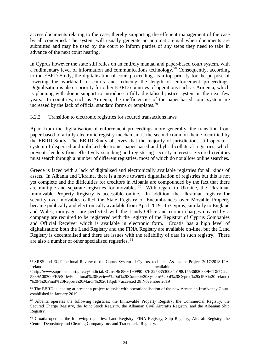access documents relating to the case, thereby supporting the efficient management of the case by all concerned. The system will usually generate an automatic email when documents are submitted and may be used by the court to inform parties of any steps they need to take in advance of the next court hearing.

In Cyprus however the state still relies on an entirely manual and paper-based court system, with a rudimentary level of information and communications technology.<sup>58</sup> Consequently, according to the EBRD Study, the digitalisation of court proceedings is a top priority for the purpose of lowering the workload of courts and reducing the length of enforcement proceedings. Digitalisation is also a priority for other EBRD countries of operations such as Armenia, which is planning with donor support to introduce a fully digitalised justice system in the next few years. In countries, such as Armenia, the inefficiencies of the paper-based court system are increased by the lack of official standard forms or templates.<sup>59</sup>

## 3.2.2 Transition to electronic registries for secured transactions laws

Apart from the digitalisation of enforcement proceedings more generally, the transition from paper-based to a fully electronic registry mechanism is the second common theme identified by the EBRD Study. The EBRD Study observes that the majority of jurisdictions still operate a system of dispersed and unlinked electronic, paper-based and hybrid collateral registries, which prevents lenders from effectively searching and registering security interests. Secured creditors must search through a number of different registries, most of which do not allow online searches.

Greece is faced with a lack of digitalised and electronically available registries for all kinds of assets. In Albania and Ukraine, there is a move towards digitalisation of registries but this is not yet complete and the difficulties for creditors in Albania are compounded by the fact that there are multiple and separate registries for movables. $60$  With regard to Ukraine, the Ukrainian Immovable Property Registry is accessible online. In addition, the Ukrainian registry for security over movables called the State Registry of Encumbrances over Movable Property became publically and electronically available from April 2019. In Cyprus, similarly to England and Wales, mortgages are perfected with the Lands Office and certain charges created by a company are required to be registered with the registry of the Registrar of Cyprus Companies and Official Receiver which is available in electronic form. Croatia has a high level of digitalisation; both the Land Registry and the FINA Registry are available on-line, but the Land Registry is decentralised and there are issues with the reliability of data in such registry. There are also a number of other specialised registries. <sup>61</sup>

<sup>58</sup> SRSS and EC Functional Review of the Courts System of Cyprus, technical Assistance Project 2017/2018 IPA, Ireland available at the state of the state at a state at a state at a state at a state at a state at a state at a state at a state at a state at a state at a state at a state at a state at a state at a state at a state at

[<sup>&</sup>lt;http://www.supremecourt.gov.cy/Judicial/SC.nsf/9c88e6190990f07fc22583530034b198/15536820389ECD97C22](http://www.supremecourt.gov.cy/Judicial/SC.nsf/9c88e6190990f07fc22583530034b198/15536820389ECD97C225839A00300FB5/$file/Functional%20Review%20of%20Courts%20System%20of%20Cyprus%20(IPA%20Ireland)%20-%20Final%20Report%20March%202018.pdf) [5839A00300FB5/\\$file/Functional%20Review%20of%20Courts%20System%20of%20Cyprus%20\(IPA%20Ireland\)](http://www.supremecourt.gov.cy/Judicial/SC.nsf/9c88e6190990f07fc22583530034b198/15536820389ECD97C225839A00300FB5/$file/Functional%20Review%20of%20Courts%20System%20of%20Cyprus%20(IPA%20Ireland)%20-%20Final%20Report%20March%202018.pdf) [%20-%20Final%20Report%20March%202018.pdf>](http://www.supremecourt.gov.cy/Judicial/SC.nsf/9c88e6190990f07fc22583530034b198/15536820389ECD97C225839A00300FB5/$file/Functional%20Review%20of%20Courts%20System%20of%20Cyprus%20(IPA%20Ireland)%20-%20Final%20Report%20March%202018.pdf) accessed 28 November 2019

<sup>&</sup>lt;sup>59</sup> The EBRD is leading at present a project to assist with operationalisation of the new Armenian Insolvency Court, established in January 2019.

<sup>&</sup>lt;sup>60</sup> Albania operates the following registries: the Immovable Property Registry, the Commercial Registry, the Secured Charge Registry, the Joint Stock Registry, the Albanian Civil Aircrafts Registry, and the Albanian Ship Registry.

<sup>&</sup>lt;sup>61</sup> Croatia operates the following registries: Land Registry, FINA Registry, Ship Registry, Aircraft Registry, the Central Depository and Clearing Company Inc. and Trademarks Registry.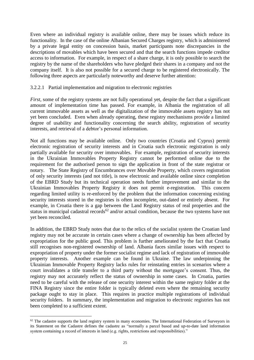Even where an individual registry is available online, there may be issues which reduce its functionality. In the case of the online Albanian Secured Charges registry, which is administered by a private legal entity on concession basis, market participants note discrepancies in the descriptions of movables which have been secured and that the search functions impede creditor access to information. For example, in respect of a share charge, it is only possible to search the registry by the name of the shareholders who have pledged their shares in a company and not the company itself. It is also not possible for a secured charge to be registered electronically. The following three aspects are particularly noteworthy and deserve further attention:

#### 3.2.2.1 Partial implementation and migration to electronic registries

*First*, some of the registry systems are not fully operational yet, despite the fact that a significant amount of implementation time has passed. For example, in Albania the registration of all current immovable assets as well as the digitalization of the immovable assets registry has not yet been concluded. Even when already operating, these registry mechanisms provide a limited degree of usability and functionality concerning the search ability, registration of security interests, and retrieval of a debtor's personal information.

Not all functions may be available online. Only two countries (Croatia and Cyprus) permit electronic registration of security interests and in Croatia such electronic registration is only partially available for security over immovables. For example, registration of security interests in the Ukrainian Immovables Property Registry cannot be performed online due to the requirement for the authorised person to sign the application in front of the state registrar or notary. The State Registry of Encumbrances over Movable Property, which covers registration of only security interests (and not title), is now electronic and available online since completion of the EBRD Study but its technical operation needs further improvement and similar to the Ukrainian Immovables Property Registry it does not permit e-registration. This concern regarding limited utility is re-enforced by the problem that the information concerning existing security interests stored in the registries is often incomplete, out-dated or entirely absent. For example, in Croatia there is a gap between the Land Registry status of real properties and the status in municipal cadastral records<sup>62</sup> and/or actual condition, because the two systems have not yet been reconciled.

In addition, the EBRD Study notes that due to the relics of the socialist system the Croatian land registry may not be accurate in certain cases where a change of ownership has been affected by expropriation for the public good. This problem is further ameliorated by the fact that Croatia still recognises non-registered ownership of land. Albania faces similar issues with respect to expropriation of property under the former socialist regime and lack of registration of immovable property interests. Another example can be found in Ukraine. The law underpinning the Ukrainian Immovable Property Registry lacks rules for reinstating entries in scenarios where a court invalidates a title transfer to a third party without the mortgagee's consent. Thus, the registry may not accurately reflect the status of ownership in some cases. In Croatia, parties need to be careful with the release of one security interest within the same registry folder at the FINA Registry since the entire folder is typically deleted even where the remaining security package ought to stay in place. This requires in practice multiple registrations of individual security folders. In summary, the implementation and migration to electronic registries has not been completed to a sufficient extent.

 $62$  The cadastre supports the land registry system in many economies. The International Federation of Surveyors in its Statement on the Cadastre defines the cadastre as "normally a parcel based and up-to-date land information system containing a record of interests in land (e.g. rights, restrictions and responsibilities)."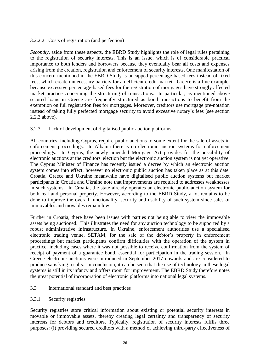## 3.2.2.2 Costs of registration (and perfection)

*Secondly*, aside from these aspects, the EBRD Study highlights the role of legal rules pertaining to the registration of security interests. This is an issue, which is of considerable practical importance to both lenders and borrowers because they eventually bear all costs and expenses arising from the creation, registration and enforcement of security interests. One manifestation of this concern mentioned in the EBRD Study is uncapped percentage-based fees instead of fixed fees, which create unnecessary barriers for an efficient credit market. Greece is a fine example, because excessive percentage-based fees for the registration of mortgages have strongly affected market practice concerning the structuring of transactions. In particular, as mentioned above secured loans in Greece are frequently structured as bond transactions to benefit from the exemption on full registration fees for mortgages. Moreover, creditors use mortgage pre-notation instead of taking fully perfected mortgage security to avoid excessive notary's fees (see section 2.2.3 above).

## 3.2.3 Lack of development of digitalised public auction platforms

All countries, including Cyprus, require public auctions to some extent for the sale of assets in enforcement proceedings. In Albania there is no electronic auction systems for enforcement proceedings. In Cyprus, the newly amended Mortgage Act provides for the possibility of electronic auctions at the creditors' election but the electronic auction system is not yet operative. The Cyprus Minister of Finance has recently issued a decree by which an electronic auction system comes into effect, however no electronic public auction has taken place as at this date. Croatia, Greece and Ukraine meanwhile have digitalised public auction systems but market participants in Croatia and Ukraine note that improvements are required to addresses weaknesses in such systems. In Croatia, the state already operates an electronic public-auction system for both real and personal property. However, according to the EBRD Study, a lot remains to be done to improve the overall functionality, security and usability of such system since sales of immovables and movables remain low.

Further in Croatia, there have been issues with parties not being able to view the immovable assets being auctioned. This illustrates the need for any auction technology to be supported by a robust administrative infrastructure. In Ukraine, enforcement authorities use a specialised electronic trading venue, SETAM, for the sale of the debtor's property in enforcement proceedings but market participants confirm difficulties with the operation of the system in practice, including cases where it was not possible to receive confirmation from the system of receipt of payment of a guarantee bond, essential for participation in the trading session. In Greece electronic auctions were introduced in September 2017 onwards and are considered to produce satisfying results. In conclusion, it can be seen that the use of technology in these legal systems is still in its infancy and offers room for improvement. The EBRD Study therefore notes the great potential of incorporation of electronic platforms into national legal systems.

## 3.3 International standard and best practices

3.3.1 Security registries

Security registries store critical information about existing or potential security interests in movable or immovable assets, thereby creating legal certainty and transparency of security interests for debtors and creditors. Typically, registration of security interests fulfils three purposes: (i) providing secured creditors with a method of achieving third-party effectiveness of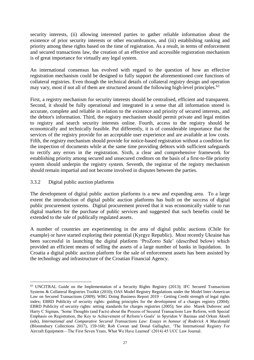security interests, (ii) allowing interested parties to gather reliable information about the existence of prior security interests or other encumbrances, and (iii) establishing ranking and priority among these rights based on the time of registration. As a result, in terms of enforcement and secured transactions law, the creation of an effective and accessible registration mechanism is of great importance for virtually any legal system.

An international consensus has evolved with regard to the question of how an effective registration mechanism could be designed to fully support the aforementioned core functions of collateral registries. Even though the technical details of collateral registry design and operation may vary, most if not all of them are structured around the following high-level principles.<sup>63</sup>

First, a registry mechanism for security interests should be centralised, efficient and transparent. Second, it should be fully operational and integrated in a sense that all information stored is accurate, complete and reliable in relation to the existence and priority of secured interests, and the debtor's information. Third, the registry mechanism should permit private and legal entities to registry and search security interests online. Fourth, access to the registry should be economically and technically feasible. Put differently, it is of considerable importance that the services of the registry provide for an acceptable user experience and are available at low costs. Fifth, the registry mechanism should provide for notice-based registration without a condition for the inspection of documents while at the same time providing debtors with sufficient safeguards to rectify any errors in the registration. Sixth, a clear and comprehensive framework for establishing priority among secured and unsecured creditors on the basis of a first-to-file priority system should underpin the registry system. Seventh, the registrar of the registry mechanism should remain impartial and not become involved in disputes between the parties.

## 3.3.2 Digital public auction platforms

 $\overline{a}$ 

The development of digital public auction platforms is a new and expanding area. To a large extent the introduction of digital public auction platforms has built on the success of digital public procurement systems. Digital procurement proved that it was economically viable to run digital markets for the purchase of public services and suggested that such benefits could be extended to the sale of publically regulated assets.

A number of countries are experimenting in the area of digital public auctions (Chile for example) or have started exploring their potential (Kyrgyz Republic). Most recently Ukraine has been successful in launching the digital platform 'ProZorro Sale' (described below) which provided an efficient means of selling the assets of a large number of banks in liquidation. In Croatia a digital public auction platform for the sale of enforcement assets has been assisted by the technology and infrastructure of the Croatian Financial Agency.

<sup>63</sup> UNCITRAL Guide on the Implementation of a Security Rights Registry (2013); IFC Secured Transactions Systems & Collateral Registries Toolkit (2010); OAS Model Registry Regulations under the Model Inter-American Law on Secured Transactions (2009); WBG Doing Business Report 2019 – Getting Credit strength of legal rights index; EBRD Publicity of security rights: guiding principles for the development of a charges registry (2004); EBRD Publicity of security rights: setting standards for charges registries (2005); See also Marek Dubovec and Harry C Sigman, 'Some Thoughts (and Facts) about the Process of Secured Transactions Law Reform, with Special Emphasis on Registration, the Key to Achievement of Reform's Goals' in Spyridon V Bazinas and Orkun Akseli (eds), *International and Comparative Secured Transactions Law: Essays in honour of Roderick A Macdonald* (Bloomsbury Collections 2017), 159-160; Rob Cowan and Donal Gallagher, 'The International Registry For Aircraft Equipment—The First Seven Years, What We Have Learned' (2014) 45 UCC Law Journal.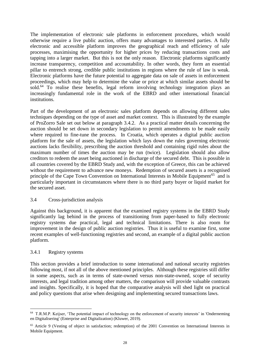The implementation of electronic sale platforms in enforcement procedures, which would otherwise require a live public auction, offers many advantages to interested parties. A fully electronic and accessible platform improves the geographical reach and efficiency of sale processes, maximising the opportunity for higher prices by reducing transactions costs and tapping into a larger market. But this is not the only reason. Electronic platforms significantly increase transparency, competition and accountability. In other words, they form an essential pillar to entrench strong, credible public institutions in regions where the rule of law is weak. Electronic platforms have the future potential to aggregate data on sale of assets in enforcement proceedings, which may help to determine the value or price at which similar assets should be sold.<sup>64</sup> To realise these benefits, legal reform involving technology integration plays an increasingly fundamental role in the work of the EBRD and other international financial institutions.

Part of the development of an electronic sales platform depends on allowing different sales techniques depending on the type of asset and market context. This is illustrated by the example of ProZorro Sale set out below at paragraph 3.4.2. As a practical matter details concerning the auction should be set down in secondary legislation to permit amendments to be made easily where required to fine-tune the process. In Croatia, which operates a digital public auction platform for the sale of assets, the legislation which lays down the rules governing electronic auctions lacks flexibility, prescribing the auction threshold and containing rigid rules about the maximum number of times the auction may be run (twice). Legislation should also allow creditors to redeem the asset being auctioned in discharge of the secured debt. This is possible in all countries covered by the EBRD Study and, with the exception of Greece, this can be achieved without the requirement to advance new moneys. Redemption of secured assets is a recognised principle of the Cape Town Convention on International Interests in Mobile Equipment<sup>65</sup> and is particularly important in circumstances where there is no third party buyer or liquid market for the secured asset.

## 3.4 Cross-jurisdiction analysis

Against this background, it is apparent that the examined registry systems in the EBRD Study significantly lag behind in the process of transitioning from paper-based to fully electronic registry systems due practical, legal and technical limitations. There is also room for improvement in the design of public auction registries. Thus it is useful to examine first, some recent examples of well-functioning registries and second, an example of a digital public auction platform.

#### 3.4.1 Registry systems

 $\overline{a}$ 

This section provides a brief introduction to some international and national security registries following most, if not all of the above mentioned principles. Although these registries still differ in some aspects, such as in terms of state-owned versus non-state-owned, scope of security interests, and legal tradition among other matters, the comparison will provide valuable contrasts and insights. Specifically, it is hoped that the comparative analysis will shed light on practical and policy questions that arise when designing and implementing secured transactions laws.

<sup>64</sup> T.R.M.P. Keijser, 'The potential impact of technology on the enforcement of security interests' in 'Onderneming en Digitalisering' (Enterprise and Digitalization) (Kluwer, 2019).

<sup>65</sup> Article 9 (Vesting of object in satisfaction; redemption) of the 2001 Convention on International Interests in Mobile Equipment.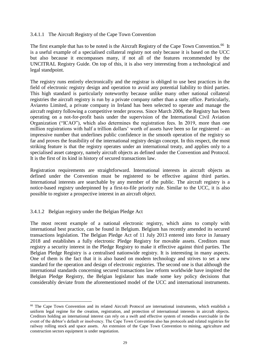#### 3.4.1.1 The Aircraft Registry of the Cape Town Convention

The first example that has to be noted is the Aircraft Registry of the Cape Town Convention.<sup>66</sup> It is a useful example of a specialised collateral registry not only because it is based on the UCC but also because it encompasses many, if not all of the features recommended by the UNCITRAL Registry Guide. On top of this, it is also very interesting from a technological and legal standpoint.

The registry runs entirely electronically and the registrar is obliged to use best practices in the field of electronic registry design and operation to avoid any potential liability to third parties. This high standard is particularly noteworthy because unlike many other national collateral registries the aircraft registry is run by a private company rather than a state office. Particularly, Aviareto Limited, a private company in Ireland has been selected to operate and manage the aircraft registry following a competitive tender process. Since March 2006, the Registry has been operating on a not-for-profit basis under the supervision of the International Civil Aviation Organization ("ICAO"), which also determines the registration fees. In 2019, more than one million registrations with half a trillion dollars' worth of assets have been so far registered – an impressive number that underlines public confidence in the smooth operation of the registry so far and proves the feasibility of the international registry design concept. In this respect, the most striking feature is that the registry operates under an international treaty, and applies only to a specialised asset category, namely aircraft objects as defined under the Convention and Protocol. It is the first of its kind in history of secured transactions law.

Registration requirements are straightforward. International interests in aircraft objects as defined under the Convention must be registered to be effective against third parties. International interests are searchable by any member of the public. The aircraft registry is a notice-based registry underpinned by a first-to-file priority rule. Similar to the UCC, it is also possible to register a prospective interest in an aircraft object.

## 3.4.1.2 Belgian registry under the Belgian Pledge Act

 $\overline{a}$ 

The most recent example of a national electronic registry, which aims to comply with international best practice, can be found in Belgium. Belgium has recently amended its secured transactions legislation. The Belgian Pledge Act of 11 July 2013 entered into force in January 2018 and establishes a fully electronic Pledge Registry for movable assets. Creditors must registry a security interest in the Pledge Registry to make it effective against third parties. The Belgian Pledge Registry is a centralised nationwide registry. It is interesting in many aspects. One of them is the fact that it is also based on modern technology and strives to set a new standard for the operation and design of electronic registries. The second one is that although the international standards concerning secured transactions law reform worldwide have inspired the Belgian Pledge Registry, the Belgian legislator has made some key policy decisions that considerably deviate from the aforementioned model of the UCC and international instruments.

<sup>&</sup>lt;sup>66</sup> The Cape Town Convention and its related Aircraft Protocol are international instruments, which establish a uniform legal regime for the creation, registration, and protection of international interests in aircraft objects. Creditors holding an international interest can rely on a swift and effective system of remedies exercisable in the event of the debtor's default or insolvency. The Cape Town Convention also has protocols and related registries for railway rolling stock and space assets. An extension of the Cape Town Convention to mining, agriculture and construction sectors equipment is under negotiation.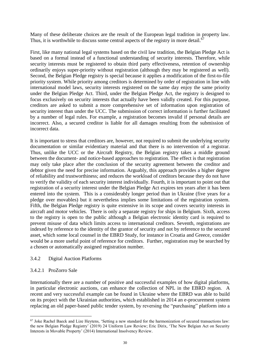Many of these deliberate choices are the result of the European legal tradition in property law. Thus, it is worthwhile to discuss some central aspects of the registry in more detail.<sup>67</sup>

First, like many national legal systems based on the civil law tradition, the Belgian Pledge Act is based on a formal instead of a functional understanding of security interests. Therefore, while security interests must be registered to obtain third party effectiveness, retention of ownership ordinarily enjoys super-priority without registration (although they may be registered as well). Second, the Belgian Pledge registry is special because it applies a modification of the first-to-file priority system. While priority among creditors is determined by order of registration in line with international model laws, security interests registered on the same day enjoy the same priority under the Belgian Pledge Act. Third, under the Belgian Pledge Act, the registry is designed to focus exclusively on security interests that actually have been validly created. For this purpose, creditors are asked to submit a more comprehensive set of information upon registration of security interest than under the UCC. The submission of correct information is further facilitated by a number of legal rules. For example, a registration becomes invalid if personal details are incorrect. Also, a secured creditor is liable for all damages resulting from the submission of incorrect data.

It is important to stress that creditors are, however, not required to submit the underlying security documentation or similar evidentiary material and that there is no intervention of a registrar. Thus, unlike the UCC or the Aircraft Registry, the Belgian registry takes a middle ground between the document- and notice-based approaches to registration. The effect is that registration may only take place after the conclusion of the security agreement between the creditor and debtor given the need for precise information. Arguably, this approach provides a higher degree of reliability and trustworthiness; and reduces the workload of creditors because they do not have to verify the validity of each security interest individually. Fourth, it is important to point out that registration of a security interest under the Belgian Pledge Act expires ten years after it has been entered into the system. This is a considerably longer period than in Ukraine (five years for a pledge over movables) but it nevertheless implies some limitations of the registration system. Fifth, the Belgian Pledge registry is quite extensive in its scope and covers security interests in aircraft and motor vehicles. There is only a separate registry for ships in Belgium. Sixth, access to the registry is open to the public although a Belgian electronic identity card is required to prevent misuse of data which limits access to international creditors. Seventh, registrations are indexed by reference to the identity of the grantor of security and not by reference to the secured asset, which some local counsel in the EBRD Study, for instance in Croatia and Greece, consider would be a more useful point of reference for creditors. Further, registration may be searched by a chosen or automatically assigned registration number.

#### 3.4.2 Digital Auction Platforms

## 3.4.2.1 ProZorro Sale

 $\overline{a}$ 

Internationally there are a number of positive and successful examples of how digital platforms, in particular electronic auctions, can enhance the collection of NPL in the EBRD region. A recent and very successful example can be found in Ukraine where the EBRD was able to build on its project with the Ukrainian authorities, which established in 2014 an e-procurement system replacing an old paper-based public tender system, by reversing the "purchasing" platform into a

 $67$  Joke Rachel Baeck and Lize Heytens, 'Setting a new standard for the harmonization of secured transactions law: the new Belgian Pledge Registry' (2019) 24 Uniform Law Review; Eric Dirix, 'The New Belgian Act on Security Interests in Movable Property' (2014) International Insolvency Review.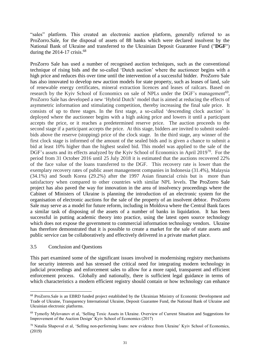"sales" platform. This created an electronic auction platform, generally referred to as ProZorro.Sale, for the disposal of assets of 88 banks which were declared insolvent by the National Bank of Ukraine and transferred to the Ukrainian Deposit Guarantee Fund ("**DGF**") during the  $2014-17$  crisis.<sup>68</sup>

ProZorro Sale has used a number of recognised auction techniques, such as the conventional technique of rising bids and the so-called 'Dutch auction' where the auctioneer begins with a high price and reduces this over time until the intervention of a successful bidder. ProZorro Sale has also innovated to develop new auction models for state property, such as leases of land, sale of renewable energy certificates, mineral extraction licences and leases of railcars. Based on research by the Kyiv School of Economics on sale of NPLs under the DGF's management<sup>69</sup>, ProZorro Sale has developed a new 'Hybrid Dutch' model that is aimed at reducing the effects of asymmetric information and stimulating competition, thereby increasing the final sale price. It consists of up to three stages. In the first stage, a so-called 'descending clock auction' is deployed where the auctioneer begins with a high asking price and lowers it until a participant accepts the price, or it reaches a predetermined reserve price. The auction proceeds to the second stage if a participant accepts the price. At this stage, bidders are invited to submit sealedbids above the reserve (stopping) price of the clock stage. In the third stage, any winner of the first clock stage is informed of the amount of the sealed bids and is given a chance to submit a bid at least 10% higher than the highest sealed bid. This model was applied to the sale of the DGF's assets and its effects analyzed by the Kyiv School of Economics in April 2019<sup>70</sup>. For the period from 31 October 2016 until 25 July 2018 it is estimated that the auctions recovered 22% of the face value of the loans transferred to the DGF. This recovery rate is lower than the exemplary recovery rates of public asset management companies in Indonesia (31.4%), Malaysia (34.1%) and South Korea (29.2%) after the 1997 Asian financial crisis but is more than satisfactory when compared to other countries with similar NPL levels. The ProZorro Sale project has also paved the way for innovation in the area of insolvency proceedings where the Cabinet of Ministers of Ukraine is planning the introduction of an electronic system for the organisation of electronic auctions for the sale of the property of an insolvent debtor. ProZorro Sale may serve as a model for future reform, including in Moldova where the Central Bank faces a similar task of disposing of the assets of a number of banks in liquidation. It has been successful in putting academic theory into practice, using the latest open source technology which does not expose the government to commercial information technology vendors. Ukraine has therefore demonstrated that it is possible to create a market for the sale of state assets and public service can be collaboratively and effectively delivered in a private market place.

#### 3.5 Conclusion and Questions

 $\overline{a}$ 

This part examined some of the significant issues involved in modernising registry mechanisms for security interests and has stressed the critical need for integrating modern technology in judicial proceedings and enforcement sales to allow for a more rapid, transparent and efficient enforcement process. Globally and nationally, there is sufficient legal guidance in terms of which characteristics a modern efficient registry should contain or how technology can enhance

<sup>68</sup> ProZorro.Sale is an EBRD funded project established by the Ukrainian Ministry of Economic Development and Trade of Ukraine, Transparency International Ukraine, Deposit Guarantee Fund, the National Bank of Ukraine and Ukrainian electronic platforms.

<sup>69</sup> Tymofiy Mylovanov et al, 'Selling Toxic Assets in Ukraine. Overview of Current Situation and Suggestions for Improvement of the Auction Design' Kyiv School of Economics (2017)

<sup>70</sup> Natalia Shapoval et al, 'Selling non-performing loans: new evidence from Ukraine' Kyiv School of Economics, (2019)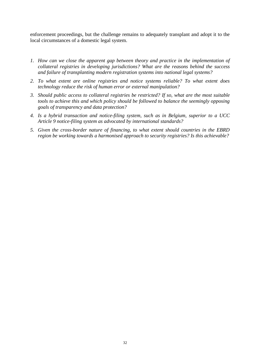enforcement proceedings, but the challenge remains to adequately transplant and adopt it to the local circumstances of a domestic legal system.

- *1. How can we close the apparent gap between theory and practice in the implementation of collateral registries in developing jurisdictions? What are the reasons behind the success and failure of transplanting modern registration systems into national legal systems?*
- *2. To what extent are online registries and notice systems reliable? To what extent does technology reduce the risk of human error or external manipulation?*
- *3. Should public access to collateral registries be restricted? If so, what are the most suitable tools to achieve this and which policy should be followed to balance the seemingly opposing goals of transparency and data protection?*
- *4. Is a hybrid transaction and notice-filing system, such as in Belgium, superior to a UCC Article 9 notice-filing system as advocated by international standards?*
- *5. Given the cross-border nature of financing, to what extent should countries in the EBRD region be working towards a harmonised approach to security registries? Is this achievable?*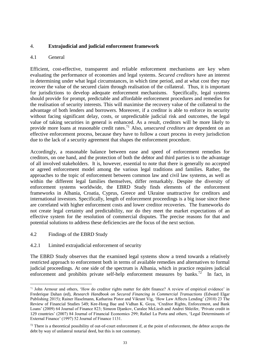## 4. **Extrajudicial and judicial enforcement framework**

## 4.1 General

Efficient, cost-effective, transparent and reliable enforcement mechanisms are key when evaluating the performance of economies and legal systems. *Secured creditors* have an interest in determining under what legal circumstances, in which time period, and at what cost they may recover the value of the secured claim through realisation of the collateral. Thus, it is important for jurisdictions to develop adequate enforcement mechanisms. Specifically, legal systems should provide for prompt, predictable and affordable enforcement procedures and remedies for the realisation of security interests. This will maximise the recovery value of the collateral to the advantage of both lenders and borrowers. Moreover, if a creditor is able to enforce its security without facing significant delay, costs, or unpredictable judicial risk and outcomes, the legal value of taking securities in general is enhanced. As a result, creditors will be more likely to provide more loans at reasonable credit rates. <sup>71</sup> Also, *unsecured creditors* are dependent on an effective enforcement process, because they have to follow a court process in every jurisdiction due to the lack of a security agreement that shapes the enforcement procedure.

Accordingly, a reasonable balance between ease and speed of enforcement remedies for creditors, on one hand, and the protection of both the debtor and third parties is to the advantage of all involved stakeholders. It is, however, essential to note that there is generally no accepted or agreed enforcement model among the various legal traditions and families. Rather, the approaches to the topic of enforcement between common law and civil law systems, as well as within the different legal families themselves, differ remarkably. Despite the diversity of enforcement systems worldwide, the EBRD Study finds elements of the enforcement frameworks in Albania, Croatia, Cyprus, Greece and Ukraine unattractive for creditors and international investors. Specifically, length of enforcement proceedings is a big issue since these are correlated with higher enforcement costs and lower creditor recoveries. The frameworks do not create legal certainty and predictability, nor do they meet the market expectations of an effective system for the resolution of commercial disputes. The precise reasons for that and potential solutions to address these deficiencies are the focus of the next section.

4.2 Findings of the EBRD Study

 $\overline{a}$ 

4.2.1 Limited extrajudicial enforcement of security

The EBRD Study observes that the examined legal systems show a trend towards a relatively restricted approach to enforcement both in terms of available remedies and alternatives to formal judicial proceedings. At one side of the spectrum is Albania, which in practice requires judicial enforcement and prohibits private self-help enforcement measures by banks.<sup>72</sup> In fact, in

<sup>71</sup> John Armour and others, 'How do creditor rights matter for debt finance? A review of empirical evidence' in Frederique Dahan (ed), *Research Handbook on Secured Financing in Commercial Transactions* (Edward Elgar Publishing 2015); Rainer Haselmann, Katharina Pistor and Vikrant Vig, 'How Law Affects Lending' (2010) 23 The Review of Financial Studies 549; Kee-Hong Bae and Vidhan K. Goya, 'Creditor Rights, Enforcement, and Bank Loans' (2009) 64 Journal of Finance 823; Simeon Djankov, Caralee McLiesh and Andrei Shleifer, 'Private credit in 129 countries' (2007) 84 Journal of Financial Economics 299; Rafael La Porta and others, 'Legal Determinants of External Finance' (1997) 52 Journal of Finance 1131.

 $72$  There is a theoretical possibility of out-of-court enforcement if, at the point of enforcement, the debtor accepts the debt by way of unilateral notarial deed, but this is not customary.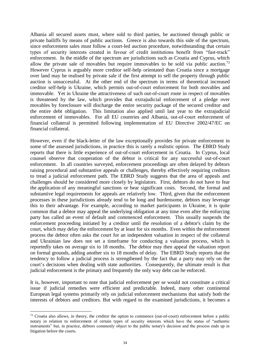Albania all secured assets must, where sold to third parties, be auctioned through public or private bailiffs by means of public auctions. Greece is also towards this side of the spectrum, since enforcement sales must follow a court-led auction procedure, notwithstanding that certain types of security interests created in favour of credit institutions benefit from "fast-track" enforcement. In the middle of the spectrum are jurisdictions such as Croatia and Cyprus, which allow the private sale of movables but require immovables to be sold via public auction.<sup>73</sup> However Cyprus is arguably more creditor self-help orientated than Croatia since a mortgage over land may be realised by private sale if the first attempt to sell the property through public auction is unsuccessful. At the other end of the spectrum in terms of theoretical increased creditor self-help is Ukraine, which permits out-of-court enforcement for both movables and immovable. Yet in Ukraine the attractiveness of such out-of-court route in respect of movables is threatened by the law, which provides that extrajudicial enforcement of a pledge over movables by foreclosure will discharge the entire security package of the secured creditor and the entire debt obligation. This limitation also applied until last year to the extrajudicial enforcement of immovables. For all EU countries and Albania, out-of-court enforcement of financial collateral is permitted following implementation of EU Directive 2002/47/EC on financial collateral.

However, even if the black-letter of the law exceptionally provides for private enforcement in some of the assessed jurisdictions, in practice this is rarely a realistic option. The EBRD Study reports that there is little experience of out-of-court enforcement in Croatia. In Cyprus, local counsel observe that cooperation of the debtor is critical for any successful out-of-court enforcement. In all countries surveyed, enforcement proceedings are often delayed by debtors raising procedural and substantive appeals or challenges, thereby effectively requiring creditors to tread a judicial enforcement path. The EBRD Study suggests that the area of appeals and challenges should be considered more closely by legislators. First, debtors do not have to fear the application of any meaningful sanctions or bear significant costs. Second, the formal and substantive legal requirements for appeals are relatively low. Third, given that the enforcement processes in these jurisdictions already tend to be long and burdensome, debtors may leverage this to their advantage. For example, according to market participants in Ukraine, it is quite common that a debtor may appeal the underlying obligation at any time even after the enforcing party has called an event of default and commenced enforcement. This usually suspends the enforcement proceeding initiated by a creditor until the resolution of a debtor's claim by the court, which may delay the enforcement by at least for six months. Even within the enforcement process the debtor often asks the court for an independent valuation in respect of the collateral and Ukrainian law does not set a timeframe for conducting a valuation process, which is reportedly takes on average six to 18 months. The debtor may then appeal the valuation report on formal grounds, adding another six to 18 months of delay. The EBRD Study reports that the tendency to follow a judicial process is strengthened by the fact that a party may rely on the court's decisions when dealing with state authorities. Consequently, the ultimate result is that judicial enforcement is the primary and frequently the only way debt can be enforced.

It is, however, important to note that judicial enforcement per se would not constitute a critical issue if judicial remedies were efficient and predictable. Indeed, many other continental European legal systems primarily rely on judicial enforcement mechanisms that satisfy both the interests of debtors and creditors. But with regard to the examined jurisdictions, it becomes a

<sup>&</sup>lt;sup>73</sup> Croatia also allows, in theory, the creditor the option to commence (out-of-court) enforcement before a public notary in relation to enforcement of certain types of security interests which have the status of "authentic instruments" but, in practice, debtors commonly object to the public notary's decision and the process ends up in litigation before the courts.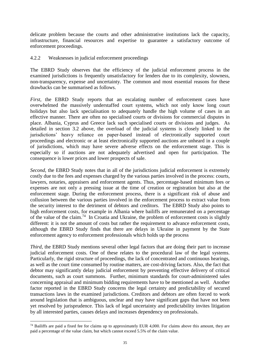delicate problem because the courts and other administrative institutions lack the capacity, infrastructure, financial resources and expertise to guarantee a satisfactory outcome of enforcement proceedings.

#### 4.2.2 Weaknesses in judicial enforcement proceedings

The EBRD Study observes that the efficiency of the judicial enforcement process in the examined jurisdictions is frequently unsatisfactory for lenders due to its complexity, slowness, non-transparency, expense and uncertainty. The common and most essential reasons for these drawbacks can be summarised as follows.

*First*, the EBRD Study reports that an escalating number of enforcement cases have overwhelmed the massively understaffed court systems, which not only know long court holidays but also lack specialisation to adequately handle the high volume of cases in an effective manner. There are often no specialised courts or divisions for commercial disputes in place. Albania, Cyprus and Greece lack such specialised courts or divisions and judges. As detailed in section 3.2 above, the overload of the judicial systems is closely linked to the jurisdictions' heavy reliance on paper-based instead of electronically supported court proceedings and electronic or at least electronically supported auctions are unheard in a couple of jurisdictions, which may have severe adverse effects on the enforcement stage. This is especially so if auctions are not adequately advertised and open for participation. The consequence is lower prices and lower prospects of sale.

*Second*, the EBRD Study notes that in all of the jurisdictions judicial enforcement is extremely costly due to the fees and expenses charged by the various parties involved in the process: courts, lawyers, notaries, appraisers and enforcement agents. Thus, percentage-based minimum fees or expenses are not only a pressing issue at the time of creation or registration but also at the enforcement stage. During the enforcement process, there is a significant risk of abuse and collusion between the various parties involved in the enforcement process to extract value from the security interest to the detriment of debtors and creditors. The EBRD Study also points to high enforcement costs, for example in Albania where bailiffs are remunerated on a percentage of the value of the claim.<sup>74</sup> In Croatia and Ukraine, the problem of enforcement costs is slightly different: it is not the amount of costs but rather the requirement to advance enforcement costs, although the EBRD Study finds that there are delays in Ukraine in payment by the State enforcement agency to enforcement professionals which holds up the process

*Third*, the EBRD Study mentions several other legal factors that are doing their part to increase judicial enforcement costs. One of these relates to the procedural law of the legal systems. Particularly, the rigid structure of proceedings, the lack of concentrated and continuous hearings, as well as the court time consumed by routine matters, are cost-driving factors. Also, the fact that debtor may significantly delay judicial enforcement by preventing effective delivery of critical documents, such as court summons. Further, minimum standards for court-administered sales concerning appraisal and minimum bidding requirements have to be mentioned as well. Another factor reported in the EBRD Study concerns the legal certainty and predictability of secured transactions laws in the examined jurisdictions. Creditors and debtors are often forced to work around legislation that is ambiguous, unclear and may have significant gaps that have not been yet resolved by jurisprudence. This lack of legal uncertainty and predictability invites litigation by all interested parties, causes delays and increases dependency on professionals.

 $74$  Bailiffs are paid a fixed fee for claims up to approximately EUR 4,000. For claims above this amount, they are paid a percentage of the value claim, but which cannot exceed 5.5% of the claim value.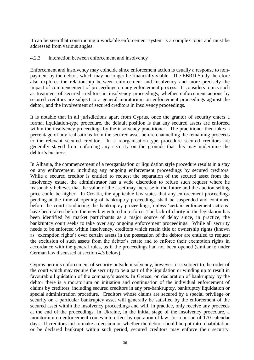It can be seen that constructing a workable enforcement system is a complex topic and must be addressed from various angles.

#### 4.2.3 Interaction between enforcement and insolvency

Enforcement and insolvency may coincide since enforcement action is usually a response to nonpayment by the debtor, which may no longer be financially viable. The EBRD Study therefore also explores the relationship between enforcement and insolvency and more precisely the impact of commencement of proceedings on any enforcement process. It considers topics such as treatment of secured creditors in insolvency proceedings, whether enforcement actions by secured creditors are subject to a general moratorium on enforcement proceedings against the debtor, and the involvement of secured creditors in insolvency proceedings.

It is notable that in all jurisdictions apart from Cyprus, once the grantor of security enters a formal liquidation-type procedure, the default position is that any secured assets are enforced within the insolvency proceedings by the insolvency practitioner. The practitioner then takes a percentage of any realisations from the secured asset before channelling the remaining proceeds to the relevant secured creditor. In a reorganisation-type procedure secured creditors are generally stayed from enforcing any security on the grounds that this may undermine the debtor's business.

In Albania, the commencement of a reorganisation or liquidation style procedure results in a stay on any enforcement, including any ongoing enforcement proceedings by secured creditors. While a secured creditor is entitled to request the separation of the secured asset from the insolvency estate, the administrator has a wide discretion to refuse such request where he reasonably believes that the value of the asset may increase in the future and the auction selling price could be higher. In Croatia, the applicable law states that any enforcement proceedings pending at the time of opening of bankruptcy proceedings shall be suspended and continued before the court conducting the bankruptcy proceedings, unless 'certain enforcement actions' have been taken before the new law entered into force. The lack of clarity in the legislation has been identified by market participants as a major source of delay since, in practice, the bankruptcy court seeks to take over any ongoing enforcement proceedings. While all security needs to be enforced within insolvency, creditors which retain title or ownership rights (known as 'exemption rights') over certain assets in the possession of the debtor are entitled to request the exclusion of such assets from the debtor's estate and to enforce their exemption rights in accordance with the general rules, as if the proceedings had not been opened (similar to under German law discussed at section 4.3 below).

Cyprus permits enforcement of security outside insolvency, however, it is subject to the order of the court which may require the security to be a part of the liquidation or winding up to result in favourable liquidation of the company's assets. In Greece, on declaration of bankruptcy by the debtor there is a moratorium on initiation and continuation of the individual enforcement of claims by creditors, including secured creditors in any pre-bankruptcy, bankruptcy liquidation or special administration procedure. Creditors whose claims are secured by a special privilege or security on a particular bankruptcy asset will generally be satisfied by the enforcement of the secured asset within the insolvency proceedings and will, in practice, only receive any proceeds at the end of the proceedings. In Ukraine, in the initial stage of the insolvency procedure, a moratorium on enforcement comes into effect by operation of law, for a period of 170 calendar days. If creditors fail to make a decision on whether the debtor should be put into rehabilitation or be declared bankrupt within such period, secured creditors may enforce their security.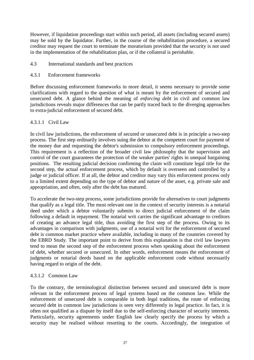However, if liquidation proceedings start within such period, all assets (including secured assets) may be sold by the liquidator. Further, in the course of the rehabilitation procedure, a secured creditor may request the court to terminate the moratorium provided that the security is not used in the implementation of the rehabilitation plan, or if the collateral is perishable.

- 4.3 International standards and best practices
- 4.3.1 Enforcement frameworks

Before discussing enforcement frameworks in more detail, it seems necessary to provide some clarifications with regard to the question of what is meant by the enforcement of secured and unsecured debt. A glance behind the meaning of *enforcing debt* in civil and common law jurisdictions reveals major differences that can be partly traced back to the diverging approaches to extra-judicial enforcement of secured debt.

## 4.3.1.1 Civil Law

In civil law jurisdictions, the enforcement of secured or unsecured debt is in principle a two-step process. The first step ordinarily involves suing the debtor at the competent court for payment of the money due and requesting the debtor's submission to compulsory enforcement proceedings. This requirement is a reflection of the broader civil law philosophy that the supervision and control of the court guarantees the protection of the weaker parties' rights in unequal bargaining positions. The resulting judicial decision confirming the claim will constitute legal title for the second step, the actual enforcement process, which by default is overseen and controlled by a judge or judicial officer. If at all, the debtor and creditor may vary this enforcement process only to a limited extent depending on the type of debtor and nature of the asset, e.g. private sale and appropriation, and often, only after the debt has matured.

To accelerate the two-step process, some jurisdictions provide for alternatives to court judgments that qualify as a legal title. The most relevant one in the context of security interests is a notarial deed under which a debtor voluntarily submits to direct judicial enforcement of the claim following a default in repayment. The notarial writ carries the significant advantage to creditors of creating an advance legal title, thus avoiding the first step of the process. Owing to its advantages in comparison with judgments, use of a notarial writ for the enforcement of secured debt is common market practice where available, including in many of the countries covered by the EBRD Study. The important point to derive from this explanation is that civil law lawyers tend to mean the second step of the enforcement process when speaking about the enforcement of debt, whether secured or unsecured. In other words, enforcement means the enforcement of judgments or notarial deeds based on the applicable enforcement code without necessarily having regard to origin of the debt.

## 4.3.1.2 Common Law

To the contrary, the terminological distinction between secured and unsecured debt is more relevant in the enforcement process of legal systems based on the common law. While the enforcement of unsecured debt is comparable in both legal traditions, the route of enforcing secured debt in common law jurisdictions is seen very differently in legal practice. In fact, it is often not qualified as a dispute by itself due to the self-enforcing character of security interests. Particularly, security agreements under English law clearly specify the process by which a security may be realised without resorting to the courts. Accordingly, the integration of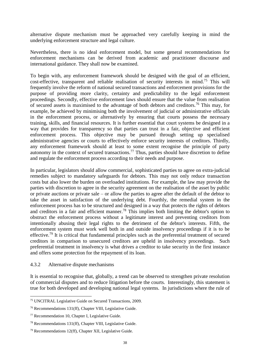alternative dispute mechanism must be approached very carefully keeping in mind the underlying enforcement structure and legal culture.

Nevertheless, there is no ideal enforcement model, but some general recommendations for enforcement mechanisms can be derived from academic and practitioner discourse and international guidance. They shall now be examined.

To begin with, any enforcement framework should be designed with the goal of an efficient, cost-effective, transparent and reliable realisation of security interests in mind.<sup>75</sup> This will frequently involve the reform of national secured transactions and enforcement provisions for the purpose of providing more clarity, certainty and predictability to the legal enforcement proceedings. Secondly, effective enforcement laws should ensure that the value from realisation of secured assets is maximised to the advantage of both debtors and creditors.<sup>76</sup> This may, for example, be achieved by minimising both the involvement of judicial or administrative officials in the enforcement process, or alternatively by ensuring that courts possess the necessary training, skills, and financial resources. It is further essential that court systems be designed in a way that provides for transparency so that parties can trust in a fair, objective and efficient enforcement process. This objective may be pursued through setting up specialised administrative agencies or courts to effectively enforce security interests of creditors. Thirdly, any enforcement framework should at least to some extent recognise the principle of party autonomy in the context of secured transactions.<sup>77</sup> Thus, parties should have discretion to define and regulate the enforcement process according to their needs and purpose.

In particular, legislators should allow commercial, sophisticated parties to agree on extra-judicial remedies subject to mandatory safeguards for debtors. This may not only reduce transaction costs but also lower the burden on overloaded institutions. For example, the law may provide the parties with discretion to agree in the security agreement on the realisation of the asset by public or private auctions or private sale – or allow the parties to agree after the default of the debtor to take the asset in satisfaction of the underlying debt. Fourthly, the remedial system in the enforcement process has to be structured and designed in a way that protects the rights of debtors and creditors in a fair and efficient manner.<sup>78</sup> This implies both limiting the debtor's option to obstruct the enforcement process without a legitimate interest and preventing creditors from intentionally abusing their legal rights to the detriment of the debtor's interests. Fifth, the enforcement system must work well both in and outside insolvency proceedings if it is to be effective.<sup>79</sup> It is critical that fundamental principles such as the preferential treatment of secured creditors in comparison to unsecured creditors are upheld in insolvency proceedings. Such preferential treatment in insolvency is what drives a creditor to take security in the first instance and offers some protection for the repayment of its loan.

#### 4.3.2 Alternative dispute mechanisms

 $\overline{a}$ 

It is essential to recognise that, globally, a trend can be observed to strengthen private resolution of commercial disputes and to reduce litigation before the courts. Interestingly, this statement is true for both developed and developing national legal systems. In jurisdictions where the rule of

<sup>75</sup> UNCITRAL Legislative Guide on Secured Transactions, 2009.

<sup>76</sup> Recommendations 131(ff), Chapter VIII, Legislative Guide.

<sup>77</sup> Recommendation 10, Chapter I, Legislative Guide.

<sup>78</sup> Recommendations 131(ff), Chapter VIII, Legislative Guide.

<sup>79</sup> Recommendations 12(ff), Chapter XII, Legislative Guide.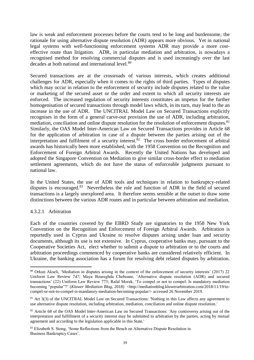law is weak and enforcement processes before the courts tend to be long and burdensome, the rationale for using alternative dispute resolution (ADR) appears more obvious. Yet in national legal systems with well-functioning enforcement systems ADR may provide a more costeffective route than litigation. ADR, in particular mediation and arbitration, is nowadays a recognised method for resolving commercial disputes and is used increasingly over the last decades at both national and international level.<sup>80</sup>

Secured transactions are at the crossroads of various interests, which creates additional challenges for ADR, especially when it comes to the rights of third parties. Types of disputes which may occur in relation to the enforcement of security include disputes related to the value or marketing of the secured asset or the order and extent to which all security interests are enforced. The increased regulation of security interests constitutes an impetus for the further homogenisation of secured transactions through model laws which, in its turn, may lead to the an increase in the use of ADR. The UNCITRAL Model Law on Secured Transactions explicitly recognises in the form of a general carve-out provision the use of ADR, including arbitration, mediation, conciliation and online dispute resolution for the resolution of enforcement disputes.<sup>81</sup> Similarly, the OAS Model Inter-American Law on Secured Transactions provides in Article 68 for the application of arbitration in case of a dispute between the parties arising out of the interpretation and fulfilment of a security interest. ${}^{82}$  The cross border enforcement of arbitral awards has historically been more established, with the 1958 Convention on the Recognition and Enforcement of Foreign Arbitral Awards. Recently the United Nations has developed and adopted the Singapore Convention on Mediation to give similar cross-border effect to mediation settlement agreements, which do not have the status of enforceable judgments pursuant to national law.

In the United States, the use of ADR tools and techniques in relation to bankruptcy-related disputes is encouraged.<sup>83</sup> Nevertheless the role and function of ADR in the field of secured transactions is a largely unexplored area. It therefore seems sensible at the outset to draw some distinctions between the various ADR routes and in particular between arbitration and mediation.

## 4.3.2.1 Arbitration

 $\overline{a}$ 

Each of the countries covered by the EBRD Study are signatories to the 1958 New York Convention on the Recognition and Enforcement of Foreign Arbitral Awards. Arbitration is reportedly used in Cyprus and Ukraine to resolve disputes arising under loan and security documents, although its use is not extensive. In Cyprus, cooperative banks may, pursuant to the Cooperative Societies Act, elect whether to submit a dispute to arbitration or to the courts and arbitration proceedings commenced by cooperative banks are considered relatively efficient. In Ukraine, the banking association has a forum for resolving debt related disputes by arbitration.

<sup>80</sup> Orkun Akseli, 'Mediation in disputes arising in the context of the enforcement of security interests' (2017) 22 Uniform Law Review 747; Maya Boureghda Chebeane, 'Alternative dispute resolution (ADR) and secured transactions' (22) Uniform Law Review 773; Rafal Morek, 'To compel or not to compel: Is mandatory mediation becoming "popular"?' (*Kluwer Mediation Blog*, 2018) <http://mediationblog.kluwerarbitration.com/2018/11/19/tocompel-or-not-to-compel-is-mandatory-mediation-becoming-popular/> accessed 26 November 2019.

<sup>&</sup>lt;sup>81</sup> Art 3(3) of the UNCITRAL Model Law on Secured Transactions: 'Nothing in this Law affects any agreement to use alternative dispute resolution, including arbitration, mediation, conciliation and online dispute resolution.'

<sup>&</sup>lt;sup>82</sup> Article 68 of the OAS Model Inter-American Law on Secured Transactions: 'Any controversy arising out of the interpretation and fulfillment of a security interest may be submitted to arbitration by the parties, acting by mutual agreement and according to the legislation applicable in this State.'

<sup>&</sup>lt;sup>83</sup> Elizabeth S. Stong, 'Some Reflections from the Bench on Alternative Dispute Resolution in Business Bankruptcy Cases'.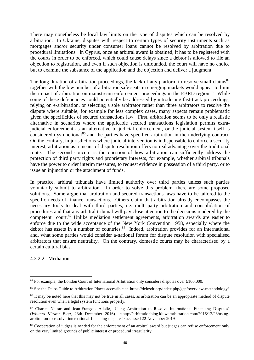There may nonetheless be local law limits on the type of disputes which can be resolved by arbitration. In Ukraine, disputes with respect to certain types of security instruments such as mortgages and/or security under consumer loans cannot be resolved by arbitration due to procedural limitations. In Cyprus, once an arbitral award is obtained, it has to be registered with the courts in order to be enforced, which could cause delays since a debtor is allowed to file an objection to registration, and even if such objection is unfounded, the court will have no choice but to examine the substance of the application and the objection and deliver a judgment.

The long duration of arbitration proceedings, the lack of any platform to resolve small claims<sup>84</sup> together with the low number of arbitration safe seats in emerging markets would appear to limit the impact of arbitration on mainstream enforcement proceedings in the EBRD region. $85$  While some of these deficiencies could potentially be addressed by introducing fast-track proceedings, relying on e-arbitration, or selecting a sole arbitrator rather than three arbitrators to resolve the dispute where suitable, for example for less complex cases, many aspects remain problematic given the specificities of secured transactions law. First, arbitration seems to be only a realistic alternative in scenarios where the applicable secured transactions legislation permits extrajudicial enforcement as an alternative to judicial enforcement, or the judicial system itself is considered dysfunctional<sup>86</sup> and the parties have specified arbitration in the underlying contract. On the contrary, in jurisdictions where judicial intervention is indispensable to enforce a security interest, arbitration as a means of dispute resolution offers no real advantage over the traditional route. The second concern is the question of how arbitration can sufficiently address the protection of third party rights and proprietary interests, for example, whether arbitral tribunals have the power to order interim measures, to request evidence in possession of a third party, or to issue an injunction or the attachment of funds.

In practice, arbitral tribunals have limited authority over third parties unless such parties voluntarily submit to arbitration. In order to solve this problem, there are some proposed solutions. Some argue that arbitration and secured transactions laws have to be tailored to the specific needs of finance transactions. Others claim that arbitration already encompasses the necessary tools to deal with third parties, i.e. multi-party arbitration and consolidation of procedures and that any arbitral tribunal will pay close attention to the decisions rendered by the competent court.<sup>87</sup> Unlike mediation settlement agreements, arbitration awards are easier to enforce due to the wide acceptance of the New York Convention 1958, especially where the debtor has assets in a number of countries.<sup>88</sup> Indeed, arbitration provides for an international and, what some parties would consider a-national forum for dispute resolution with specialised arbitrators that ensure neutrality. On the contrary, domestic courts may be characterised by a certain cultural bias.

4.3.2.2 Mediation

<sup>&</sup>lt;sup>84</sup> For example, the London Court of International Arbitration only considers disputes over £100,000.

<sup>85</sup> See the Delos Guide to Arbitration Places accessible at <https://delosdr.org/index.php/gap/overview-methodology/>

<sup>&</sup>lt;sup>86</sup> It may be noted here that this may not be true in all cases, as arbitration can be an appropriate method of dispute resolution even when a legal system functions properly.

<sup>87</sup> Charles Nairac and Jean-François Adelle, 'Using Arbitration to Resolve International Financing Disputes' (*Wolters Kluwer Blog*, 23th December 2016) <http://arbitrationblog.kluwerarbitration.com/2016/12/23/usingarbitration-to-resolve-international-financing-disputes> accessed 22 November 2019

<sup>88</sup> Cooperation of judges is needed for the enforcement of an arbitral award but judges can refuse enforcement only on the very limited grounds of public interest or procedural irregularity.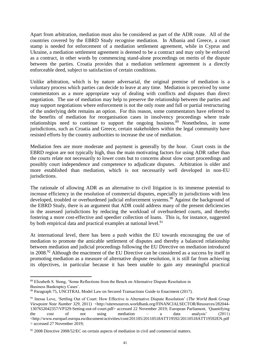Apart from arbitration, mediation must also be considered as part of the ADR route. All of the countries covered by the EBRD Study recognise mediation. In Albania and Greece, a court stamp is needed for enforcement of a mediation settlement agreement, while in Cyprus and Ukraine, a mediation settlement agreement is deemed to be a contract and may only be enforced as a contract, in other words by commencing stand-alone proceedings on merits of the dispute between the parties. Croatia provides that a mediation settlement agreement is a directly enforceable deed, subject to satisfaction of certain conditions.

Unlike arbitration, which is by nature adversarial, the original premise of mediation is a voluntary process which parties can decide to leave at any time. Mediation is perceived by some commentators as a more appropriate way of dealing with conflicts and disputes than direct negotiation. The use of mediation may help to preserve the relationship between the parties and may support negotiations where enforcement is not the only route and full or partial restructuring of the underlying debt remains an option. For this reason, some commentators have referred to the benefits of mediation for reorganisation cases in insolvency proceedings where trade relationships need to continue to support the ongoing business.<sup>89</sup> Nonetheless, in some jurisdictions, such as Croatia and Greece, certain stakeholders within the legal community have resisted efforts by the country authorities to increase the use of mediation.

Mediation fees are more moderate and payment is generally by the hour. Court costs in the EBRD region are not typically high, thus the main motivating factors for using ADR rather than the courts relate not necessarily to lower costs but to concerns about slow court proceedings and possibly court independence and competence to adjudicate disputes. Arbitration is older and more established than mediation, which is not necessarily well developed in non-EU jurisdictions.

The rationale of allowing ADR as an alternative to civil litigation is its immense potential to increase efficiency in the resolution of commercial disputes, especially in jurisdictions with less developed, troubled or overburdened judicial enforcement systems.<sup>90</sup> Against the background of the EBRD Study, there is an argument that ADR could address many of the present deficiencies in the assessed jurisdictions by reducing the workload of overburdened courts, and thereby fostering a more cost-effective and speedier collection of loans. This is, for instance, suggested by both empirical data and practical examples at national level.<sup>91</sup>

At international level, there has been a push within the EU towards encouraging the use of mediation to promote the amicable settlement of disputes and thereby a balanced relationship between mediation and judicial proceedings following the EU Directive on mediation introduced in 2008.<sup>92</sup> Although the enactment of the EU Directive can be considered as a success by itself in promoting mediation as a measure of alternative dispute resolution, it is still far from achieving its objectives, in particular because it has been unable to gain any meaningful practical

 $\overline{a}$ 89 Elizabeth S. Stong, 'Some Reflections from the Bench on Alternative Dispute Resolution in Business Bankruptcy Cases'.

 $90$  Paragraph 75, UNCITRAL Model Law on Secured Transactions Guide to Enactment (2017).

<sup>91</sup> Inessa Love, 'Settling Out of Court: How Effective is Alternative Dispute Resolution' (*The World Bank Group Viewpoint Note Number 329*, 2011) <http://siteresources.worldbank.org/FINANCIALSECTOR/Resources/282044- 1307652042357/VP329-Setting-out-of-court.pdf> accessed 22 November 2019; European Parliament, 'Quantifying the cost of not using mediation – a data analysis' (2011) <http://www.europarl.europa.eu/document/activities/cont/201105/20110518ATT19592/20110518ATT19592EN.pdf > accessed 27 November 2019;

 $92\,2008$  Directive 2008/52/EC on certain aspects of mediation in civil and commercial matters.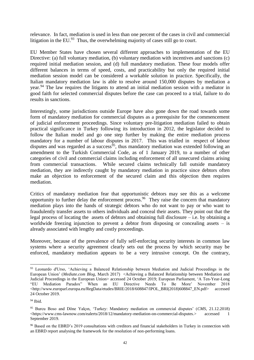relevance. In fact, mediation is used in less than one percent of the cases in civil and commercial litigation in the EU.<sup>93</sup> Thus, the overwhelming majority of cases still go to court.

EU Member States have chosen several different approaches to implementation of the EU Directive: (a) full voluntary mediation, (b) voluntary mediation with incentives and sanctions (c) required initial mediation session, and (d) full mandatory mediation. These four models offer different balances in terms of speed, costs, and practicability but only the required initial mediation session model can be considered a workable solution in practice. Specifically, the Italian mandatory mediation law is able to resolve around 150,000 disputes by mediation a year.<sup>94</sup> The law requires the litigants to attend an initial mediation session with a mediator in good faith for selected commercial disputes before the case can proceed to a trial, failure to do results in sanctions.

Interestingly, some jurisdictions outside Europe have also gone down the road towards some form of mandatory mediation for commercial disputes as a prerequisite for the commencement of judicial enforcement proceedings. Since voluntary pre-litigation mediation failed to obtain practical significance in Turkey following its introduction in 2012, the legislator decided to follow the Italian model and go one step further by making the entire mediation process mandatory for a number of labour disputes in 2017. This was trialled in respect of labour disputes and was regarded as a success<sup>95</sup>, thus mandatory mediation was extended following an amendment to the Turkish Commercial Code, as of 1 January 2019, to a number of other categories of civil and commercial claims including enforcement of all unsecured claims arising from commercial transactions. While secured claims technically fall outside mandatory mediation, they are indirectly caught by mandatory mediation in practice since debtors often make an objection to enforcement of the secured claim and this objection then requires mediation.

Critics of mandatory mediation fear that opportunistic debtors may see this as a welcome opportunity to further delay the enforcement process.<sup>96</sup> They raise the concern that mandatory mediation plays into the hands of strategic debtors who do not want to pay or who want to fraudulently transfer assets to others individuals and conceal their assets. They point out that the legal process of locating the assets of debtors and obtaining full disclosure – i.e. by obtaining a worldwide freezing injunction to prevent a debtor from disposing or concealing assets – is already associated with lengthy and costly proceedings.

Moreover, because of the prevalence of fully self-enforcing security interests in common law systems where a security agreement clearly sets out the process by which security may be enforced, mandatory mediation appears to be a very intrusive concept. On the contrary,

<sup>93</sup> Leonardo d'Urso, 'Achieving a Balanced Relationship between Mediation and Judicial Proceedings in the European Union' (*Mediate.com Blog*, March 2017) <Achieving a Balanced Relationship between Mediation and Judicial Proceedings in the European Union> accessed 24 October 2019; European Parliament, 'A Ten-Year-Long "EU Mediation Paradox" When an EU Directive Needs To Be More' November 2018 <http://www.europarl.europa.eu/RegData/etudes/BRIE/2018/608847/IPOL\_BRI(2018)608847\_EN.pdf> accessed 24 October 2019.

 $94$  Ibid.

<sup>95</sup> Burcu Boso and Döne Yalçın, 'Turkey: Mandatory mediation on commercial disputes' (*CMS*, 21.12.2018) <https://www.cms-lawnow.com/ealerts/2018/12/mandatory-mediation-on-commercial-disputes.> accessed 1 September 2019.

<sup>&</sup>lt;sup>96</sup> Based on the EBRD's 2019 consultations with creditors and financial stakeholders in Turkey in connection with an EBRD report analysing the framework for the resolution of non-performing loans.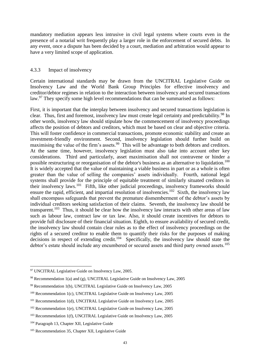mandatory mediation appears less intrusive in civil legal systems where courts even in the presence of a notarial writ frequently play a larger role in the enforcement of secured debts. In any event, once a dispute has been decided by a court, mediation and arbitration would appear to have a very limited scope of application.

#### 4.3.3 Impact of insolvency

Certain international standards may be drawn from the UNCITRAL Legislative Guide on Insolvency Law and the World Bank Group Principles for effective insolvency and creditor/debtor regimes in relation to the interaction between insolvency and secured transactions law.<sup>97</sup> They specify some high level recommendations that can be summarised as follows:

First, it is important that the interplay between insolvency and secured transactions legislation is clear. Thus, first and foremost, insolvency law must create legal certainty and predictability.<sup>98</sup> In other words, insolvency law should stipulate how the commencement of insolvency proceedings affects the position of debtors and creditors, which must be based on clear and objective criteria. This will foster confidence in commercial transactions, promote economic stability and create an investment-friendly environment. Second, insolvency legislation should further build on maximising the value of the firm's assets.<sup>99</sup> This will be advantage to both debtors and creditors. At the same time, however, insolvency legislation must also take into account other key considerations. Third and particularly, asset maximisation shall not contravene or hinder a possible restructuring or reorganisation of the debtor's business as an alternative to liquidation.<sup>100</sup> It is widely accepted that the value of maintaining a viable business in part or as a whole is often greater than the value of selling the companies' assets individually. Fourth, national legal systems shall provide for the principle of equitable treatment of similarly situated creditors in their insolvency laws.<sup>101</sup> Fifth, like other judicial proceedings, insolvency frameworks should ensure the rapid, efficient, and impartial resolution of insolvencies.<sup>102</sup> Sixth, the insolvency law shall encompass safeguards that prevent the premature dismemberment of the debtor's assets by individual creditors seeking satisfaction of their claims. Seventh, the insolvency law should be transparent.<sup>103</sup> Thus, it should be clear how the insolvency law interacts with other areas of law such as labour law, contract law or tax law. Also, it should create incentives for debtors to provide full disclosure of their financial situation. Eighth, to ensure availability of secured credit, the insolvency law should contain clear rules as to the effect of insolvency proceedings on the rights of a secured creditor to enable them to quantify their risks for the purposes of making decisions in respect of extending credit.<sup>104</sup> Specifically, the insolvency law should state the debtor's estate should include any encumbered or secured assets and third party owned assets.<sup>105</sup>

<sup>97</sup> UNCITRAL Legislative Guide on Insolvency Law, 2005.

 $98$  Recommendation 1(a) and (g), UNCITRAL Legislative Guide on Insolvency Law, 2005

<sup>99</sup> Recommendation 1(b), UNCITRAL Legislative Guide on Insolvency Law, 2005

<sup>&</sup>lt;sup>100</sup> Recommendation 1(c), UNCITRAL Legislative Guide on Insolvency Law, 2005

<sup>&</sup>lt;sup>101</sup> Recommendation 1(d), UNCITRAL Legislative Guide on Insolvency Law, 2005

 $102$  Recommendation 1(e), UNCITRAL Legislative Guide on Insolvency Law, 2005

<sup>&</sup>lt;sup>103</sup> Recommendation 1(f), UNCITRAL Legislative Guide on Insolvency Law, 2005

<sup>&</sup>lt;sup>104</sup> Paragraph 13, Chapter XII, Legislative Guide

<sup>&</sup>lt;sup>105</sup> Recommendation 35, Chapter XII, Legislative Guide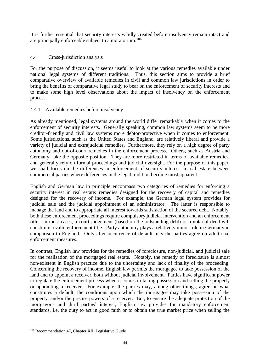It is further essential that security interests validly created before insolvency remain intact and are principally enforceable subject to a moratorium.<sup>106</sup>

## 4.4 Cross-jurisdiction analysis

For the purpose of discussion, it seems useful to look at the various remedies available under national legal systems of different traditions. Thus, this section aims to provide a brief comparative overview of available remedies in civil and common law jurisdictions in order to bring the benefits of comparative legal study to bear on the enforcement of security interests and to make some high level observations about the impact of insolvency on the enforcement process.

## 4.4.1 Available remedies before insolvency

As already mentioned, legal systems around the world differ remarkably when it comes to the enforcement of security interests. Generally speaking, common law systems seem to be more creditor-friendly and civil law systems more debtor-protective when it comes to enforcement. Some jurisdictions, such as the United States and England, are relatively liberal and provide a variety of judicial and extrajudicial remedies. Furthermore, they rely on a high degree of party autonomy and out-of-court remedies in the enforcement process. Others, such as Austria and Germany, take the opposite position. They are more restricted in terms of available remedies, and generally rely on formal proceedings and judicial oversight. For the purpose of this paper, we shall focus on the differences in enforcement of security interest in real estate between commercial parties where differences in the legal tradition become most apparent.

English and German law in principle encompass two categories of remedies for enforcing a security interest in real estate: remedies designed for the recovery of capital and remedies designed for the recovery of income. For example, the German legal system provides for judicial sale and the judicial appointment of an administrator. The latter is responsible to manage the land and to appropriate all interest towards satisfaction of the secured debt. Notably, both these enforcement proceedings require compulsory judicial intervention and an enforcement title. In most cases, a court judgement (based on the outstanding debt) or a notarial deed will constitute a valid enforcement title. Party autonomy plays a relatively minor role in Germany in comparison to England. Only after occurrence of default may the parties agree on additional enforcement measures.

In contrast, English law provides for the remedies of foreclosure, non-judicial, and judicial sale for the realisation of the mortgaged real estate. Notably, the remedy of foreclosure is almost non-existent in English practice due to the uncertainty and lack of finality of the proceeding. Concerning the recovery of income, English law permits the mortgagee to take possession of the land and to appoint a receiver, both without judicial involvement. Parties have significant power to regulate the enforcement process when it comes to taking possession and selling the property or appointing a receiver. For example, the parties may, among other things, agree on what constitutes a default, the conditions upon which the mortgagee may take possession of the property, and/or the precise powers of a receiver. But, to ensure the adequate protection of the mortgagor's and third parties' interest, English law provides for mandatory enforcement standards, i.e. the duty to act in good faith or to obtain the true market price when selling the

<sup>106</sup> Recommendation 47, Chapter XII, Legislative Guide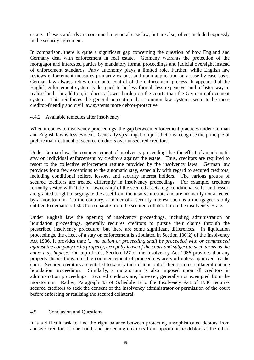estate. These standards are contained in general case law, but are also, often, included expressly in the security agreement.

In comparison, there is quite a significant gap concerning the question of how England and Germany deal with enforcement in real estate. Germany warrants the protection of the mortgagor and interested parties by mandatory formal proceedings and judicial oversight instead of enforcement standards. Party autonomy plays a limited role. Further, while English law reviews enforcement measures primarily ex-post and upon application on a case-by-case basis, German law always relies on ex-ante control of the enforcement process. It appears that the English enforcement system is designed to be less formal, less expensive, and a faster way to realise land. In addition, it places a lower burden on the courts than the German enforcement system. This reinforces the general perception that common law systems seem to be more creditor-friendly and civil law systems more debtor-protective.

#### 4.4.2 Available remedies after insolvency

When it comes to insolvency proceedings, the gap between enforcement practices under German and English law is less evident. Generally speaking, both jurisdictions recognise the principle of preferential treatment of secured creditors over unsecured creditors.

Under German law, the commencement of insolvency proceedings has the effect of an automatic stay on individual enforcement by creditors against the estate. Thus, creditors are required to resort to the collective enforcement regime provided by the insolvency laws. German law provides for a few exceptions to the automatic stay, especially with regard to secured creditors, including conditional sellers, lessors, and security interest holders. The various groups of secured creditors are treated differently in insolvency proceedings. For example, creditors formally vested with 'title' or 'ownership' of the secured assets, e.g. conditional seller and lessor, are granted a right to segregate the asset from the insolvent estate and are ordinarily not affected by a moratorium. To the contrary, a holder of a security interest such as a mortgagee is only entitled to demand satisfaction separate from the secured collateral from the insolvency estate.

Under English law the opening of insolvency proceedings, including administration or liquidation proceedings, generally requires creditors to pursue their claims through the prescribed insolvency procedure, but there are some significant differences. In liquidation proceedings, the effect of a stay on enforcement is stipulated in Section 130(2) of the Insolvency Act 1986. It provides that: '... *no action or proceeding shall be proceeded with or commenced against the company or its property, except by leave of the court and subject to such terms as the court may impose.'* On top of this, Section 127 of the Insolvency Act 1986 provides that any property dispositions after the commencement of proceedings are void unless approved by the court. Secured creditors are entitled to satisfy their claims out of their secured collateral outside liquidation proceedings. Similarly, a moratorium is also imposed upon all creditors in administration proceedings. Secured creditors are, however, generally not exempted from the moratorium. Rather, Paragraph 43 of Schedule B1to the Insolvency Act of 1986 requires secured creditors to seek the consent of the insolvency administrator or permission of the court before enforcing or realising the secured collateral.

#### 4.5 Conclusion and Questions

It is a difficult task to find the right balance between protecting unsophisticated debtors from abusive creditors at one hand, and protecting creditors from opportunistic debtors at the other.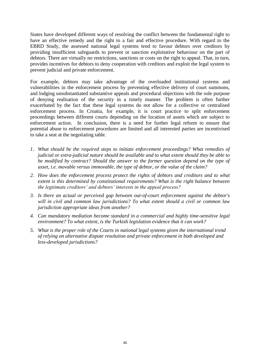States have developed different ways of resolving the conflict between the fundamental right to have an effective remedy and the right to a fair and effective procedure. With regard to the EBRD Study, the assessed national legal systems tend to favour debtors over creditors by providing insufficient safeguards to prevent or sanction exploitative behaviour on the part of debtors. There are virtually no restrictions, sanctions or costs on the right to appeal. That, in turn, provides incentives for debtors to deny cooperation with creditors and exploit the legal system to prevent judicial and private enforcement.

For example, debtors may take advantage of the overloaded institutional systems and vulnerabilities in the enforcement process by preventing effective delivery of court summons, and lodging unsubstantiated substantive appeals and procedural objections with the sole purpose of denying realisation of the security in a timely manner. The problem is often further exacerbated by the fact that these legal systems do not allow for a collective or centralised enforcement process. In Croatia, for example, it is court practice to split enforcement proceedings between different courts depending on the location of assets which are subject to enforcement action. In conclusion, there is a need for further legal reform to ensure that potential abuse to enforcement procedures are limited and all interested parties are incentivised to take a seat at the negotiating table.

- *1. What should be the required steps to initiate enforcement proceedings? What remedies of judicial or extra-judicial nature should be available and to what extent should they be able to be modified by contract? Should the answer to the former question depend on the type of asset, i.e. movable versus immovable, the type of debtor, or the value of the claim?*
- *2. How does the enforcement process protect the rights of debtors and creditors and to what extent is this determined by constitutional requirements? What is the right balance between the legitimate creditors' and debtors' interests in the appeal process?*
- *3. Is there an actual or perceived gap between out-of-court enforcement against the debtor's will in civil and common law jurisdictions? To what extent should a civil or common law jurisdiction appropriate ideas from another?*
- *4. Can mandatory mediation become standard in a commercial and highly time-sensitive legal environment? To what extent, is the Turkish legislation evidence that it can work?*
- *5. What is the proper role of the Courts in national legal systems given the international trend of relying on alternative dispute resolution and private enforcement in both developed and less-developed jurisdictions?*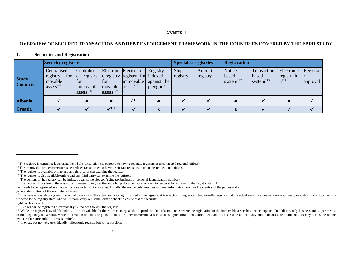#### **ANNEX 1**

#### **OVERVIEW OF SECURED TRANSACTION AND DEBT ENFORCEMENT FRAMEWORK IN THE COUNTRIES COVERED BY THE EBRD STUDY**

#### **1. Securities and Registration**

|                                  | <b>Security registries</b>                                     |                                                                     |                                |                                                                                         |                                                   | <b>Specialist registries</b> |                      | <b>Registration</b>                      |                                      |                                               |                      |  |
|----------------------------------|----------------------------------------------------------------|---------------------------------------------------------------------|--------------------------------|-----------------------------------------------------------------------------------------|---------------------------------------------------|------------------------------|----------------------|------------------------------------------|--------------------------------------|-----------------------------------------------|----------------------|--|
| <b>Study</b><br><b>Countries</b> | Centralised<br>for d<br>registry<br>movable<br>assets $^{107}$ | Centralise<br>registry<br>for<br>immovable<br>assets <sup>108</sup> | for<br>movable<br>assets $109$ | Electroni Electronic<br>c registry registry for indexed<br>immovable<br>assets $^{110}$ | Registry<br>against the<br>pledgor <sup>111</sup> | Ship<br>registry             | Aircraft<br>registry | Notice<br>based<br>system <sup>112</sup> | Transaction<br>based<br>system $113$ | Electronic<br>registratio $\ $ r<br>$n^{114}$ | Registra<br>approval |  |
| <b>Albania</b>                   |                                                                |                                                                     | $\pmb{x}$                      | $\sqrt{115}$                                                                            | ×                                                 |                              |                      |                                          |                                      | ×                                             |                      |  |
| <b>Croatia</b>                   |                                                                |                                                                     | $\mathcal{I}^{116}$            |                                                                                         |                                                   |                              |                      |                                          |                                      |                                               |                      |  |

 $\overline{a}$ 

 $116$  It exists, but not very user friendly. Electronic registration is not possible.

<sup>&</sup>lt;sup>107</sup>The registry is centralised, covering the whole jurisdiction (as opposed to having separate registers in unconnected regional offices).

<sup>&</sup>lt;sup>108</sup>The immovable property register is centralised (as opposed to having separate registers in unconnected regional offices.

<sup>&</sup>lt;sup>109</sup> The register is available online and any third party can examine the register.

<sup>&</sup>lt;sup>110</sup> The register is also available online and any third party can examine the register.

<sup>&</sup>lt;sup>111</sup> The content of the registry can be indexed against the pledgor (using tax/business or personal identification number).

<sup>&</sup>lt;sup>112</sup> In a notice filing system, there is no requirement to register the underlying documentation or even to tender it for scrutiny to the registry staff. All

that needs to be registered is a notice that a security right may exist. Usually, the notice only provides minimal information, such as the identity of the parties and a

general description of the encumbered assets.

<sup>&</sup>lt;sup>113</sup> In a transaction filing system, the actual transaction (the actual security right) is filed in the registry. A transaction filing system traditionally requires that the actual security agreement (or a summary or a sh tendered to the registry staff, who will usually carry out some form of check to ensure that the security

right has been created.

 $114$  Pledges can be registered electronically i.e. no need to visit the registry.

<sup>&</sup>lt;sup>115</sup> While the register is available online, it is not available for the entire country, as this depends on the cadastral zones where the registration of the immovable assets has been completed. In addition, only business or buildings may be verified, while information on lands or plots of lands, or other immovable assets such as agricultural lands, forests etc. are not accessible online. Only public notaries, or bailiff officers may access register, therefore public access is limited.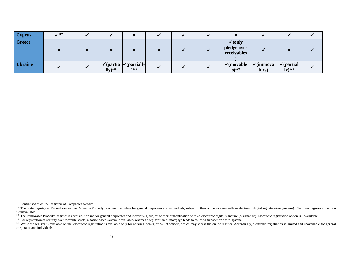| <b>Cyprus</b>  | $\sqrt{117}$ |                                          |                                                                 |  |                                                  |                               |                                                                 |  |
|----------------|--------------|------------------------------------------|-----------------------------------------------------------------|--|--------------------------------------------------|-------------------------------|-----------------------------------------------------------------|--|
| <b>Greece</b>  |              |                                          |                                                                 |  | $\checkmark$ (only<br>pledge over<br>receivables |                               |                                                                 |  |
| <b>Ukraine</b> |              | $\overline{\mathrm{lly}}$ <sup>118</sup> | $\checkmark$ (partia $\checkmark$ ) (partially<br>$\lambda$ 119 |  | $\checkmark$ (movable<br>$s)^{120}$              | $\checkmark$ (immova<br>bles) | $\checkmark$ (partial<br>$\mathbf{I} \mathbf{y}$ <sup>121</sup> |  |

<sup>&</sup>lt;sup>117</sup> Centralised at online Registrar of Companies website.

<sup>&</sup>lt;sup>118</sup> The State Registry of Encumbrances over Movable Property is accessible online for general corporates and individuals, subject to their authentication with an electronic digital signature (e-signature). Electronic reg is unavailable.

<sup>&</sup>lt;sup>119</sup> The Immovable Property Register is accessible online for general corporates and individuals, subject to their authentication with an electronic digital signature (e-signature). Electronic registration option is unava

<sup>120</sup> For registration of security over movable assets, a notice based system is available, whereas a registration of mortgage tends to follow a transaction based system.

<sup>&</sup>lt;sup>121</sup> While the register is available online, electronic registration is available only for notaries, banks, or bailiff officers, which may access the online register. Accordingly, electronic registration is limited and un corporates and individuals.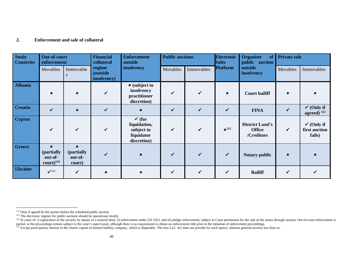#### **2. Enforcement and sale of collateral**

| <b>Study</b><br><b>Countries</b> | <b>Out-of-court</b><br>enforcement                            |                                                | <b>Financial</b><br>collateral    | <b>Enforcement</b><br>outside                                                | <b>Public auctions</b> |              | <b>Electronic</b><br><b>Sales</b> | <b>Organiser</b><br>of<br>public auction              | <b>Private sale</b>       |                                                  |
|----------------------------------|---------------------------------------------------------------|------------------------------------------------|-----------------------------------|------------------------------------------------------------------------------|------------------------|--------------|-----------------------------------|-------------------------------------------------------|---------------------------|--------------------------------------------------|
|                                  | Movables                                                      | Immovable                                      | regime<br>(outside<br>insolvency) | insolvency                                                                   | Movables               | Immovables   | <b>Platform</b>                   | outside<br>insolvency                                 | Movables                  | Immovables                                       |
| <b>Albania</b>                   | $\mathbf x$                                                   | $\pmb{\times}$                                 |                                   | $\star$ (subject to<br>insolvency<br>practitioner<br>discretion)             | $\checkmark$           | ✓            | $\pmb{\times}$                    | <b>Court bailiff</b>                                  | $\pmb{\times}$            | $\boldsymbol{\mathsf{x}}$                        |
| <b>Croatia</b>                   | $\checkmark$                                                  | $\pmb{x}$                                      | $\checkmark$                      | $\pmb{x}$                                                                    | $\checkmark$           | $\checkmark$ | $\checkmark$                      | <b>FINA</b>                                           | $\checkmark$              | $\checkmark$ (Only if<br>agreed) $122$           |
| <b>Cyprus</b>                    | ✔                                                             | $\checkmark$                                   | $\checkmark$                      | $\checkmark$ (for<br>liquidation,<br>subject to<br>liquidator<br>discretion) | $\checkmark$           | $\checkmark$ | $\mathbf{x}^{123}$                | <b>District Land's</b><br><b>Office</b><br>/Creditors | $\checkmark$              | $\checkmark$ (Only if<br>first auction<br>fails) |
| <b>Greece</b>                    | $\mathbf x$<br>(partially<br>out-of-<br>$\text{court})^{124}$ | $\mathbf x$<br>(partially<br>out-of-<br>court) |                                   | $\boldsymbol{\mathsf{x}}$                                                    | $\checkmark$           | ✓            | $\checkmark$                      | <b>Notary public</b>                                  | $\boldsymbol{\mathsf{x}}$ | $\mathbf x$                                      |
| <b>Ukraine</b>                   | $\checkmark$ <sup>125</sup>                                   | $\checkmark$                                   | $\pmb{\times}$                    | $\pmb{\times}$                                                               | $\checkmark$           | $\checkmark$ | $\checkmark$                      | <b>Bailiff</b>                                        | ✓                         |                                                  |

<sup>&</sup>lt;sup>122</sup> Only if agreed by the parties before the scheduled public auction.

 $123$  The electronic register for public auctions should be operational shortly.

<sup>&</sup>lt;sup>124</sup> In cases of: i) registration of the security by means of a notarial deed, ii) enforcement under LD 1923, and iii) pledge enforcement, subject to Court permission for the sale of the assets through auction. Out-of-cou partial, as the proceedings remain subject to the court's supervision, although there is no requirement to obtain an enforcement title prior to the initiation of enforcement proceedings.

<sup>&</sup>lt;sup>125</sup> Except participatory interest in the charter capital of limited liability company, which is disputable. The new LLC Act does not provide for such option, whereas general security law does so.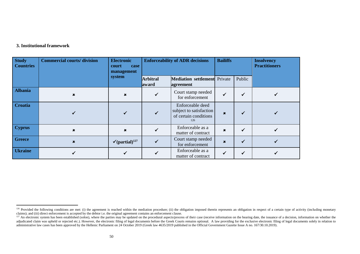#### **3. Institutional framework**

| <b>Study</b><br><b>Countries</b> | <b>Commercial courts/division</b> | <b>Electronic</b><br>court<br>case<br>management | <b>Enforceability of ADR decisions</b> | <b>Bailiffs</b>                                                             |                           | <b>Insolvency</b><br><b>Practitioners</b> |  |
|----------------------------------|-----------------------------------|--------------------------------------------------|----------------------------------------|-----------------------------------------------------------------------------|---------------------------|-------------------------------------------|--|
|                                  |                                   | system                                           | <b>Arbitral</b><br>award               | <b>Mediation settlement</b> Private<br>agreement                            |                           | Public                                    |  |
| <b>Albania</b>                   | ×                                 | $\mathbf x$                                      |                                        | Court stamp needed<br>for enforcement                                       | ✓                         |                                           |  |
| <b>Croatia</b>                   |                                   |                                                  |                                        | Enforceable deed<br>subject to satisfaction<br>of certain conditions<br>126 | $\boldsymbol{\mathsf{x}}$ |                                           |  |
| <b>Cyprus</b>                    | ×                                 | $\boldsymbol{\mathsf{x}}$                        |                                        | Enforceable as a<br>matter of contract                                      | $\pmb{x}$                 |                                           |  |
| <b>Greece</b>                    | $\mathbf x$                       | $\checkmark$ (partial) <sup>127</sup>            |                                        | Court stamp needed<br>for enforcement                                       | $\pmb{x}$                 |                                           |  |
| <b>Ukraine</b>                   |                                   |                                                  |                                        | Enforceable as a<br>matter of contract                                      |                           |                                           |  |

<sup>&</sup>lt;sup>126</sup> Provided the following conditions are met: (i) the agreement is reached within the mediation procedure; (ii) the obligation imposed therein represents an obligation in respect of a certain type of activity (including claims); and (iii) direct enforcement is accepted by the debtor i.e. the original agreement contains an enforcement clause.

<sup>&</sup>lt;sup>127</sup> An electronic system has been established (solon), where the parties may be updated on the procedural aspects/process of their case (receive information on the hearing date, the issuance of a decision, information on adjudicated claim was upheld or rejected etc.). However, the electronic filing of legal documents before the Greek Courts remains optional. A law providing for the exclusive electronic filing of legal documents solely in r administrative law cases has been approved by the Hellenic Parliament on 24 October 2019 (Greek law 4635/2019 published in the Official Government Gazette Issue A no. 167/30.10.2019).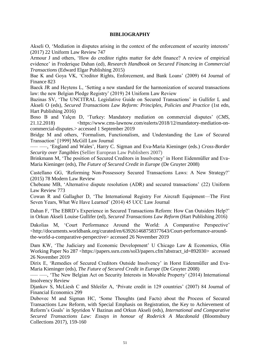#### **BIBLIOGRAPHY**

Akseli O, 'Mediation in disputes arising in the context of the enforcement of security interests' (2017) 22 Uniform Law Review 747

Armour J and others, 'How do creditor rights matter for debt finance? A review of empirical evidence' in Frederique Dahan (ed), *Research Handbook on Secured Financing in Commercial Transactions* (Edward Elgar Publishing 2015)

Bae K and Goya VK, 'Creditor Rights, Enforcement, and Bank Loans' (2009) 64 Journal of Finance 823

Baeck JR and Heytens L, 'Setting a new standard for the harmonization of secured transactions law: the new Belgian Pledge Registry' (2019) 24 Uniform Law Review

Bazinas SV, 'The UNCITRAL Legislative Guide on Secured Transactions' in Gullifer L and Akseli O (eds), *Secured Transactions Law Reform: Principles, Policies and Practice* (1st edn, Hart Publishing 2016)

Boso B and Yalçın D, 'Turkey: Mandatory mediation on commercial disputes' (*CMS*, 21.12.2018) <https://www.cms-lawnow.com/ealerts/2018/12/mandatory-mediation-oncommercial-disputes.> accessed 1 September 2019

Bridge M and others, 'Formalism, Functionalism, and Understanding the Law of Secured Transaction' [1999] McGill Law Journal

––– –––, 'England and Wales', Harry C. Sigman and Eva-Maria Kieninger (eds.) *Cross-Border Security over Tangibles* (Sellier European Law Publishers 2007)

Brinkmann M, 'The position of Secured Creditors in Insolvency' in Horst Eidenmüller and Eva-Maria Kieninger (eds), *The Future of Secured Credit in Europe* (De Gruyter 2008)

Castellano GG, 'Reforming Non‐Possessory Secured Transactions Laws: A New Strategy?' (2015) 78 Modern Law Review

Chebeane MB, 'Alternative dispute resolution (ADR) and secured transactions' (22) Uniform Law Review 773

Cowan R and Gallagher D, 'The International Registry For Aircraft Equipment—The First Seven Years, What We Have Learned' (2014) 45 UCC Law Journal

Dahan F, 'The EBRD's Experience in Secured Transactions Reform: How Can Outsiders Help?' in Orkun Akseli Louise Gullifer (ed), *Secured Transactions Law Reform* (Hart Publishing 2016)

Dakolias M, 'Court Performance Around the World: A Comparative Perspective' <http://documents.worldbank.org/curated/en/639261468758377643/Court-performance-aroundthe-world-a-comparative-perspective> accessed 26 November 2019

Dam KW, 'The Judiciary and Economic Development' U Chicago Law & Economics, Olin Working Paper No 287 <https://papers.ssrn.com/sol3/papers.cfm?abstract\_id=892030> accessed 26 November 2019

Dirix E, 'Remedies of Secured Creditors Outside Insolvency' in Horst Eidenmüller and Eva-Maria Kieninger (eds), *The Future of Secured Credit in Europe* (De Gruyter 2008)

––– –––, 'The New Belgian Act on Security Interests in Movable Property' (2014) International Insolvency Review

Djankov S, McLiesh C and Shleifer A, 'Private credit in 129 countries' (2007) 84 Journal of Financial Economics 299

Dubovec M and Sigman HC, 'Some Thoughts (and Facts) about the Process of Secured Transactions Law Reform, with Special Emphasis on Registration, the Key to Achievement of Reform's Goals' in Spyridon V Bazinas and Orkun Akseli (eds), *International and Comparative Secured Transactions Law: Essays in honour of Roderick A Macdonald* (Bloomsbury Collections 2017), 159-160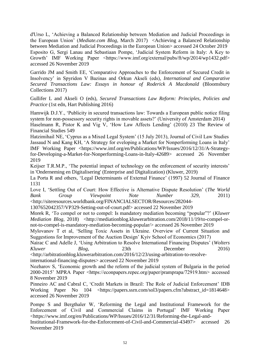d'Urso L, 'Achieving a Balanced Relationship between Mediation and Judicial Proceedings in the European Union' (*Mediate.com Blog*, March 2017) <Achieving a Balanced Relationship between Mediation and Judicial Proceedings in the European Union> accessed 24 October 2019 Esposito G, Sergi Lanau and Sebastiaan Pompe, 'Judicial System Reform in Italy: A Key to Growth' IMF Working Paper <https://www.imf.org/external/pubs/ft/wp/2014/wp1432.pdf> accessed 26 November 2019

Garrido JM and Smith EE, 'Comparative Approaches to the Enforcement of Secured Credit in Insolvency' in Spyridon V Bazinas and Orkun Akseli (eds), *International and Comparative Secured Transactions Law: Essays in honour of Roderick A Macdonald* (Bloomsbury Collections 2017)

Gullifer L and Akseli O (eds), *Secured Transactions Law Reform: Principles, Policies and Practice* (1st edn, Hart Publishing 2016)

Hamwijk D.J.Y., 'Publicity in secured transactions law: Towards a European public notice filing system for non-possessory security rights in movable assets?' (University of Amsterdam 2014) Haselmann R, Pistor K and Vig V, 'How Law Affects Lending' (2010) 23 The Review of Financial Studies 549

Hatzimihail NE, 'Cyprus as a Mixed Legal System' (15 July 2013), Journal of Civil Law Studies Jassaud N and Kang KH, 'A Strategy for eveloping a Market for Nonperforming Loans in Italy' IMF Working Paper <https://www.imf.org/en/Publications/WP/Issues/2016/12/31/A-Strategyfor-Developing-a-Market-for-Nonperforming-Loans-in-Italy-42689> accessed 26 November 2019

Keijser T.R.M.P., 'The potential impact of technology on the enforcement of security interests' in 'Onderneming en Digitalisering' (Enterprise and Digitalization) (Kluwer, 2019)

La Porta R and others, 'Legal Determinants of External Finance' (1997) 52 Journal of Finance 1131

Love I, 'Settling Out of Court: How Effective is Alternative Dispute Resolution' (*The World Bank Group Viewpoint Note Number 329*, 2011)

<http://siteresources.worldbank.org/FINANCIALSECTOR/Resources/282044-

1307652042357/VP329-Setting-out-of-court.pdf> accessed 22 November 2019

Morek R, 'To compel or not to compel: Is mandatory mediation becoming "popular"?' (*Kluwer Mediation Blog*, 2018) <http://mediationblog.kluwerarbitration.com/2018/11/19/to-compel-ornot-to-compel-is-mandatory-mediation-becoming-popular/> accessed 26 November 2019

Mylovanov T et al, 'Selling Toxic Assets in Ukraine. Overview of Current Situation and Suggestions for Improvement of the Auction Design' Kyiv School of Economics (2017)

Nairac C and Adelle J, 'Using Arbitration to Resolve International Financing Disputes' (*Wolters Kluwer Blog*, 23th December 2016)

<http://arbitrationblog.kluwerarbitration.com/2016/12/23/using-arbitration-to-resolve-

international-financing-disputes> accessed 22 November 2019

Nozharov S, 'Economic growth and the reform of the judicial system of Bulgaria in the period 2000-2015' MPRA Paper <https://econpapers.repec.org/paper/pramprapa/72919.htm> accessed 8 November 2019

Pinneiro AC and Cabral C, 'Credit Markets in Brazil: The Role of Judicial Enforcement' IDB Working Paper No 104 <https://papers.ssrn.com/sol3/papers.cfm?abstract\_id=1814648> accessed 26 November 2019

Pompe S and Bergthaler W, 'Reforming the Legal and Institutional Framework for the Enforcement of Civil and Commercial Claims in Portugal' IMF Working Paper <https://www.imf.org/en/Publications/WP/Issues/2016/12/31/Reforming-the-Legal-and-

Institutional-Framework-for-the-Enforcement-of-Civil-and-Commercial-43497> accessed 26 November 2019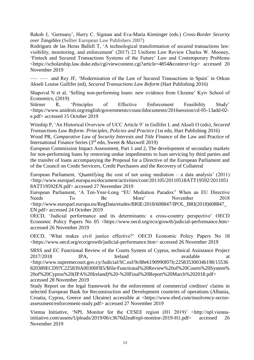Rakob J, 'Germany', Harry C. Sigman and Eva-Maria Kieninger (eds.) *Cross-Border Security over Tangibles* (Sellier European Law Publishers 2007)

Rodríguez de las Heras Ballell T, 'A technological transformation of secured transactions law: visibility, monitoring, and enforcement' (2017) 22 Uniform Law Review Charles W. Mooney, 'Fintech and Secured Transactions Systems of the Future' Law and Contemporary Problems <https://scholarship.law.duke.edu/cgi/viewcontent.cgi?article=4854&context=lcp> accessed 20 November 2019

and Rey JF, 'Modernisation of the Law of Secured Transactions in Spain' in Orkun Akseli Louise Gullifer (ed), *Secured Transactions Law Reform* (Hart Publishing 2016)

Shapoval N et al, 'Selling non-performing loans: new evidence from Ukraine' Kyiv School of Economics, (2019)

Stürner R, 'Principles of Effective Enforcement Feasibility Study' <https://www.unidroit.org/english/governments/councildocuments/2016session/cd-95-13add-02 e.pdf> accessed 15 October 2019

Winship P, 'An Historical Overview of UCC Article 9' in Gullifer L and Akseli O (eds), *Secured Transactions Law Reform: Principles, Policies and Practice* (1st edn, Hart Publishing 2016) Wood PR, *Comparative Law of Security Interests and Title Finance* of the Law and Practice of International Finance Series ( $3<sup>rd</sup>$  edn, Sweet & Maxwell 2019)

European Commission Impact Assessment, Part 1 and 2, The development of secondary markets for non-performing loans by removing undue impediments to loan servicing by third parties and the transfer of loans accompanying the Proposal for a Directive of the European Parliament and of the Council on Credit Servicers, Credit Purchasers and the Recovery of Collateral

European Parliament, 'Quantifying the cost of not using mediation – a data analysis' (2011) <http://www.europarl.europa.eu/document/activities/cont/201105/20110518ATT19592/2011051 8ATT19592EN.pdf> accessed 27 November 2019

European Parliament, 'A Ten-Year-Long "EU Mediation Paradox" When an EU Directive Needs To Be More' November 2018 <http://www.europarl.europa.eu/RegData/etudes/BRIE/2018/608847/IPOL\_BRI(2018)608847\_ EN.pdf> accessed 24 October 2019

OECD, 'Judicial performance and its determinants: a cross-country perspective' OECD Economic Policy Papers No 05 <https://www.oecd.org/eco/growth/judicial-performance.htm> accessed 26 November 2019

OECD, 'What makes civil justice effective?' OECD Economic Policy Papers No 18 <https://www.oecd.org/eco/growth/judicial-performance.htm> accessed 26 November 2019

SRSS and EC Functional Review of the Courts System of Cyprus, technical Assistance Project 2017/2018 IPA, Ireland available at [<http://www.supremecourt.gov.cy/Judicial/SC.nsf/9c88e6190990f07fc22583530034b198/15536](http://www.supremecourt.gov.cy/Judicial/SC.nsf/9c88e6190990f07fc22583530034b198/15536820389ECD97C225839A00300FB5/$file/Functional%20Review%20of%20Courts%20System%20of%20Cyprus%20(IPA%20Ireland)%20-%20Final%20Report%20March%202018.pdf) [820389ECD97C225839A00300FB5/\\$file/Functional%20Review%20of%20Courts%20System%](http://www.supremecourt.gov.cy/Judicial/SC.nsf/9c88e6190990f07fc22583530034b198/15536820389ECD97C225839A00300FB5/$file/Functional%20Review%20of%20Courts%20System%20of%20Cyprus%20(IPA%20Ireland)%20-%20Final%20Report%20March%202018.pdf) [20of%20Cyprus%20\(IPA%20Ireland\)%20-%20Final%20Report%20March%202018.pdf>](http://www.supremecourt.gov.cy/Judicial/SC.nsf/9c88e6190990f07fc22583530034b198/15536820389ECD97C225839A00300FB5/$file/Functional%20Review%20of%20Courts%20System%20of%20Cyprus%20(IPA%20Ireland)%20-%20Final%20Report%20March%202018.pdf) accessed 28 November 2019

Study Report on the legal framework for the enforcement of commercial creditors' claims in selected European Bank for Reconstruction and Development countries of operations (Albania, Croatia, Cyprus, Greece and Ukraine) accessible at [<https://www.ebrd.com/insolvency-sector](https://www.ebrd.com/insolvency-sector-assessment/enforcement-study.pdf)[assessment/enforcement-study.pdf>](https://www.ebrd.com/insolvency-sector-assessment/enforcement-study.pdf) accessed 27 November 2019

Vienna Initiative, 'NPL Monitor for the CESEE region (H1 2019)' <http://npl.viennainitiative.com/assets/Uploads/2019/06/c3676d2ea8/npl-monitor-2019-H1.pdf> accessed 26 November 2019